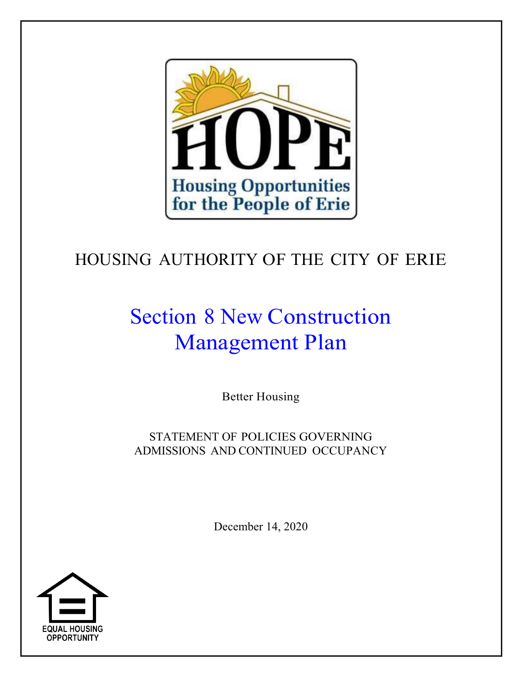

# HOUSING AUTHORITY OF THE CITY OF ERIE

# Section 8 New Construction Management Plan

Better Housing

STATEMENT OF POLICIES GOVERNING ADMISSIONS AND CONTINUED OCCUPANCY

December 14, 2020

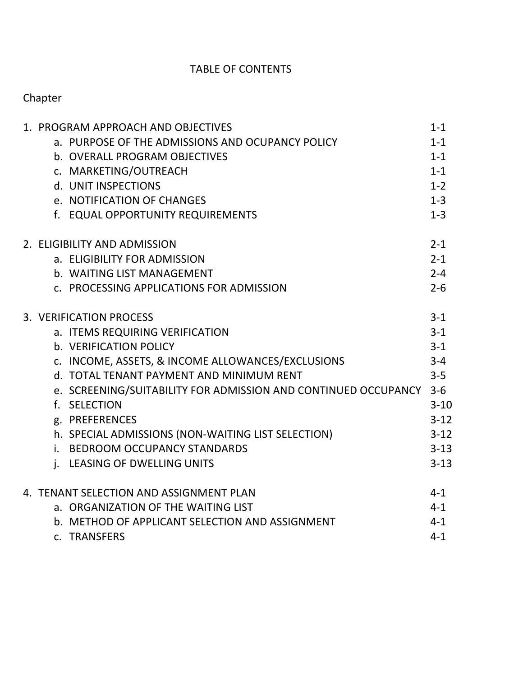# TABLE OF CONTENTS

# Chapter

| 1. PROGRAM APPROACH AND OBJECTIVES                                 | $1 - 1$  |
|--------------------------------------------------------------------|----------|
| a. PURPOSE OF THE ADMISSIONS AND OCUPANCY POLICY                   | $1 - 1$  |
| b. OVERALL PROGRAM OBJECTIVES                                      | $1 - 1$  |
| c. MARKETING/OUTREACH                                              | $1 - 1$  |
| d. UNIT INSPECTIONS                                                | $1 - 2$  |
| e. NOTIFICATION OF CHANGES                                         | $1 - 3$  |
| f. EQUAL OPPORTUNITY REQUIREMENTS                                  | $1 - 3$  |
| 2. ELIGIBILITY AND ADMISSION                                       | $2 - 1$  |
| a. ELIGIBILITY FOR ADMISSION                                       | $2 - 1$  |
| b. WAITING LIST MANAGEMENT                                         | $2 - 4$  |
| c. PROCESSING APPLICATIONS FOR ADMISSION                           | $2 - 6$  |
| 3. VERIFICATION PROCESS                                            | $3-1$    |
| a. ITEMS REQUIRING VERIFICATION                                    | $3 - 1$  |
| b. VERIFICATION POLICY                                             | $3 - 1$  |
| c. INCOME, ASSETS, & INCOME ALLOWANCES/EXCLUSIONS                  | $3 - 4$  |
| d. TOTAL TENANT PAYMENT AND MINIMUM RENT                           | $3 - 5$  |
| e. SCREENING/SUITABILITY FOR ADMISSION AND CONTINUED OCCUPANCY 3-6 |          |
| f. SELECTION                                                       | $3 - 10$ |
| g. PREFERENCES                                                     | $3 - 12$ |
| h. SPECIAL ADMISSIONS (NON-WAITING LIST SELECTION)                 | $3 - 12$ |
| i. BEDROOM OCCUPANCY STANDARDS                                     | $3 - 13$ |
| j. LEASING OF DWELLING UNITS                                       | $3 - 13$ |
| 4. TENANT SELECTION AND ASSIGNMENT PLAN                            | $4 - 1$  |
| a. ORGANIZATION OF THE WAITING LIST                                | $4 - 1$  |
| b. METHOD OF APPLICANT SELECTION AND ASSIGNMENT                    | $4 - 1$  |
| c. TRANSFERS                                                       | $4 - 1$  |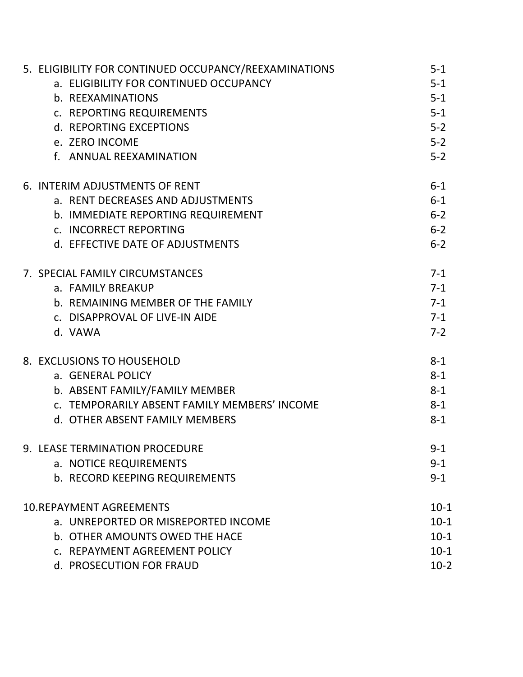| 5. ELIGIBILITY FOR CONTINUED OCCUPANCY/REEXAMINATIONS | $5 - 1$  |
|-------------------------------------------------------|----------|
| a. ELIGIBILITY FOR CONTINUED OCCUPANCY                | $5 - 1$  |
| b. REEXAMINATIONS                                     | $5-1$    |
| c. REPORTING REQUIREMENTS                             | $5 - 1$  |
| d. REPORTING EXCEPTIONS                               | $5 - 2$  |
| e. ZERO INCOME                                        | $5 - 2$  |
| f. ANNUAL REEXAMINATION                               | $5 - 2$  |
| 6. INTERIM ADJUSTMENTS OF RENT                        | $6 - 1$  |
| a. RENT DECREASES AND ADJUSTMENTS                     | $6 - 1$  |
| b. IMMEDIATE REPORTING REQUIREMENT                    | $6 - 2$  |
| c. INCORRECT REPORTING                                | $6 - 2$  |
| d. EFFECTIVE DATE OF ADJUSTMENTS                      | $6 - 2$  |
| 7. SPECIAL FAMILY CIRCUMSTANCES                       | $7 - 1$  |
| a. FAMILY BREAKUP                                     | $7 - 1$  |
| b. REMAINING MEMBER OF THE FAMILY                     | $7 - 1$  |
| c. DISAPPROVAL OF LIVE-IN AIDE                        | $7 - 1$  |
| d. VAWA                                               | $7-2$    |
| 8. EXCLUSIONS TO HOUSEHOLD                            | $8 - 1$  |
| a. GENERAL POLICY                                     | $8 - 1$  |
| b. ABSENT FAMILY/FAMILY MEMBER                        | $8 - 1$  |
| c. TEMPORARILY ABSENT FAMILY MEMBERS' INCOME          | $8 - 1$  |
| d. OTHER ABSENT FAMILY MEMBERS                        | $8 - 1$  |
| 9. LEASE TERMINATION PROCEDURE                        | $9 - 1$  |
| a. NOTICE REQUIREMENTS                                | $9 - 1$  |
| b. RECORD KEEPING REQUIREMENTS                        | $9 - 1$  |
| <b>10.REPAYMENT AGREEMENTS</b>                        | $10-1$   |
| a. UNREPORTED OR MISREPORTED INCOME                   | $10 - 1$ |
| b. OTHER AMOUNTS OWED THE HACE                        | $10 - 1$ |
| c. REPAYMENT AGREEMENT POLICY                         | $10 - 1$ |
| d. PROSECUTION FOR FRAUD                              | $10-2$   |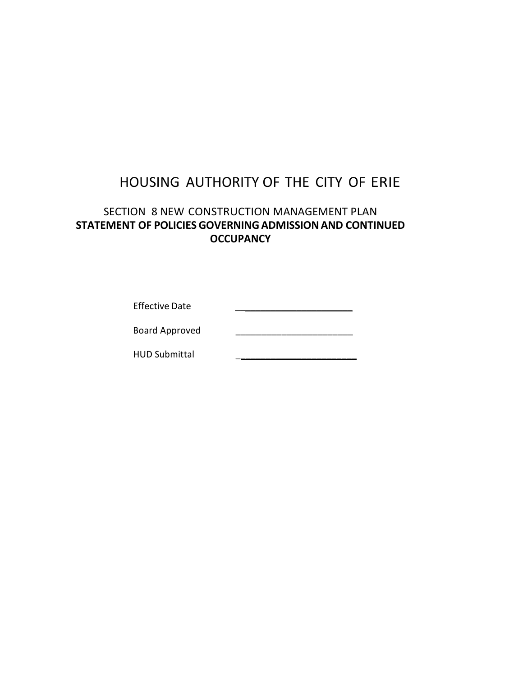# HOUSING AUTHORITY OF THE CITY OF ERIE

# SECTION 8 NEW CONSTRUCTION MANAGEMENT PLAN **STATEMENT OF POLICIESGOVERNINGADMISSIONAND CONTINUED OCCUPANCY**

| <b>Effective Date</b> |  |
|-----------------------|--|
|                       |  |

Board Approved \_\_\_\_\_\_\_\_\_\_\_\_\_\_\_\_\_\_\_\_\_\_\_

HUD Submittal \_\_\_\_\_\_\_\_\_\_\_\_\_\_\_\_\_\_\_\_\_\_\_\_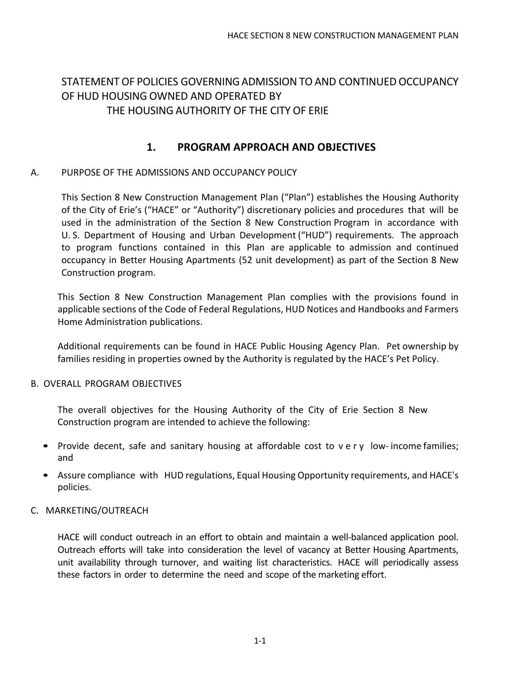# STATEMENT OF POLICIES GOVERNINGADMISSION TOAND CONTINUED OCCUPANCY OF HUD HOUSING OWNED AND OPERATED BY

## THE HOUSING AUTHORITY OF THE CITY OF ERIE

## **1. PROGRAM APPROACH AND OBJECTIVES**

#### A. PURPOSE OF THE ADMISSIONS AND OCCUPANCY POLICY

This Section 8 New Construction Management Plan ("Plan") establishes the Housing Authority of the City of Erie's ("HACE" or "Authority") discretionary policies and procedures that will be used in the administration of the Section 8 New Construction Program in accordance with U. S. Department of Housing and Urban Development ("HUD") requirements. The approach to program functions contained in this Plan are applicable to admission and continued occupancy in Better Housing Apartments (52 unit development) as part of the Section 8 New Construction program.

This Section 8 New Construction Management Plan complies with the provisions found in applicable sections of the Code of Federal Regulations, HUD Notices and Handbooks and Farmers Home Administration publications.

Additional requirements can be found in HACE Public Housing Agency Plan. Pet ownership by families residing in properties owned by the Authority is regulated by the HACE's Pet Policy.

#### B. OVERALL PROGRAM OBJECTIVES

The overall objectives for the Housing Authority of the City of Erie Section 8 New Construction program are intended to achieve the following:

- Provide decent, safe and sanitary housing at affordable cost to very low-income families; and
- Assure compliance with HUD regulations, Equal Housing Opportunity requirements, and HACE's policies.

#### C. MARKETING/OUTREACH

HACE will conduct outreach in an effort to obtain and maintain a well-balanced application pool. Outreach efforts will take into consideration the level of vacancy at Better Housing Apartments, unit availability through turnover, and waiting list characteristics. HACE will periodically assess these factors in order to determine the need and scope of the marketing effort.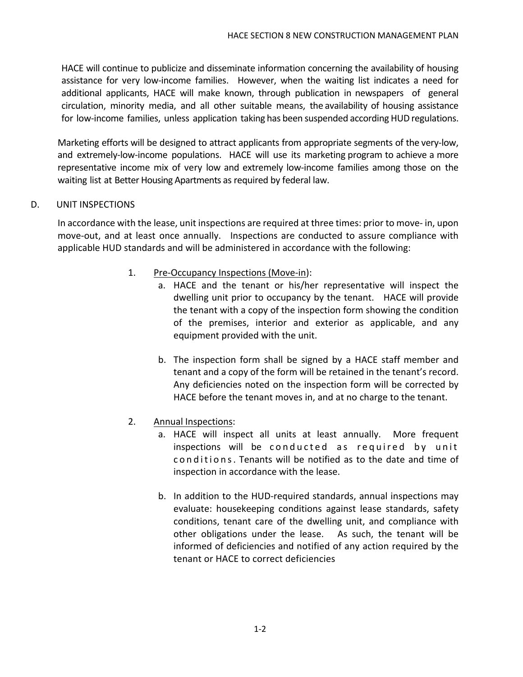HACE will continue to publicize and disseminate information concerning the availability of housing assistance for very low-income families. However, when the waiting list indicates a need for additional applicants, HACE will make known, through publication in newspapers of general circulation, minority media, and all other suitable means, the availability of housing assistance for low-income families, unless application taking has been suspended according HUD regulations.

Marketing efforts will be designed to attract applicants from appropriate segments of the very-low, and extremely-low-income populations. HACE will use its marketing program to achieve a more representative income mix of very low and extremely low-income families among those on the waiting list at Better Housing Apartments as required by federal law.

#### D. UNIT INSPECTIONS

In accordance with the lease, unit inspections are required at three times: prior to move- in, upon move-out, and at least once annually. Inspections are conducted to assure compliance with applicable HUD standards and will be administered in accordance with the following:

- 1. Pre-Occupancy Inspections (Move-in):
	- a. HACE and the tenant or his/her representative will inspect the dwelling unit prior to occupancy by the tenant. HACE will provide the tenant with a copy of the inspection form showing the condition of the premises, interior and exterior as applicable, and any equipment provided with the unit.
		- b. The inspection form shall be signed by a HACE staff member and tenant and a copy of the form will be retained in the tenant's record. Any deficiencies noted on the inspection form will be corrected by HACE before the tenant moves in, and at no charge to the tenant.
- 2. Annual Inspections:
	- a. HACE will inspect all units at least annually. More frequent inspections will be conducted as required by unit conditions. Tenants will be notified as to the date and time of inspection in accordance with the lease.
	- b. In addition to the HUD-required standards, annual inspections may evaluate: housekeeping conditions against lease standards, safety conditions, tenant care of the dwelling unit, and compliance with other obligations under the lease. As such, the tenant will be informed of deficiencies and notified of any action required by the tenant or HACE to correct deficiencies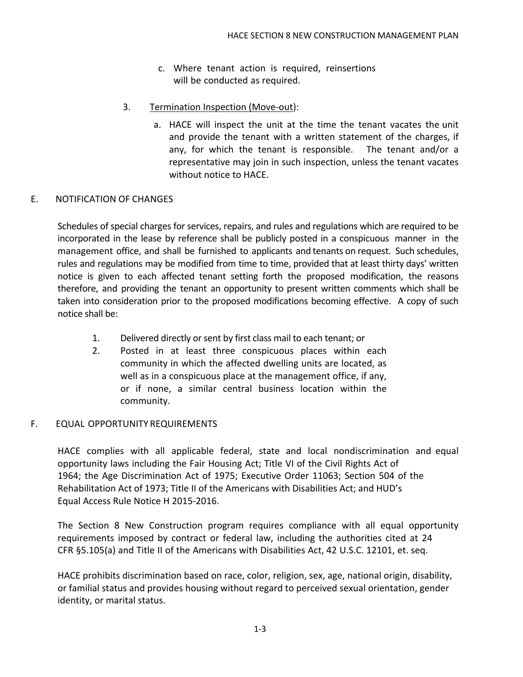- c. Where tenant action is required, reinsertions will be conducted as required.
- 3. Termination Inspection (Move-out):
	- a. HACE will inspect the unit at the time the tenant vacates the unit and provide the tenant with a written statement of the charges, if any, for which the tenant is responsible. The tenant and/or a representative may join in such inspection, unless the tenant vacates without notice to HACE.

#### E. NOTIFICATION OF CHANGES

Schedules of special charges for services, repairs, and rules and regulations which are required to be incorporated in the lease by reference shall be publicly posted in a conspicuous manner in the management office, and shall be furnished to applicants and tenants on request. Such schedules, rules and regulations may be modified from time to time, provided that at least thirty days' written notice is given to each affected tenant setting forth the proposed modification, the reasons therefore, and providing the tenant an opportunity to present written comments which shall be taken into consideration prior to the proposed modifications becoming effective. A copy of such notice shall be:

- 1. Delivered directly or sent by first class mail to each tenant; or
- 2. Posted in at least three conspicuous places within each community in which the affected dwelling units are located, as well as in a conspicuous place at the management office, if any, or if none, a similar central business location within the community.

#### F. EQUAL OPPORTUNITY REQUIREMENTS

HACE complies with all applicable federal, state and local nondiscrimination and equal opportunity laws including the Fair Housing Act; Title VI of the Civil Rights Act of 1964; the Age Discrimination Act of 1975; Executive Order 11063; Section 504 of the Rehabilitation Act of 1973; Title II of the Americans with Disabilities Act; and HUD's Equal Access Rule Notice H 2015-2016.

The Section 8 New Construction program requires compliance with all equal opportunity requirements imposed by contract or federal law, including the authorities cited at 24 CFR §5.105(a) and Title II of the Americans with Disabilities Act, 42 U.S.C. 12101, et. seq.

HACE prohibits discrimination based on race, color, religion, sex, age, national origin, disability, or familial status and provides housing without regard to perceived sexual orientation, gender identity, or marital status.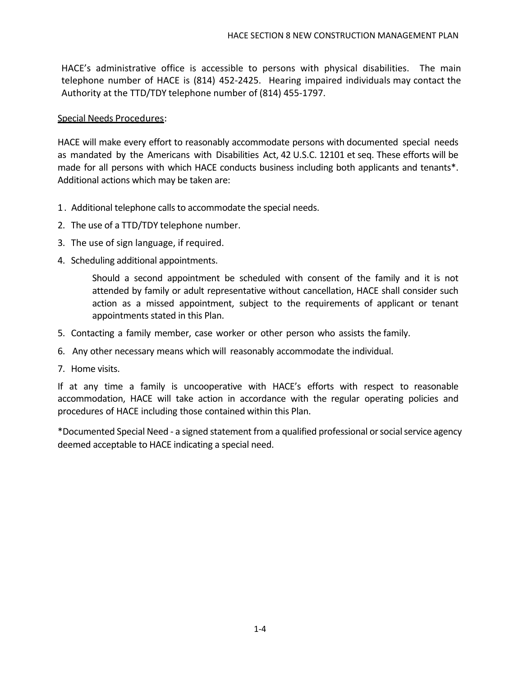HACE's administrative office is accessible to persons with physical disabilities. The main telephone number of HACE is (814) 452-2425. Hearing impaired individuals may contact the Authority at the TTD/TDY telephone number of (814) 455-1797.

#### Special Needs Procedures:

HACE will make every effort to reasonably accommodate persons with documented special needs as mandated by the Americans with Disabilities Act, 42 U.S.C. 12101 et seq. These efforts will be made for all persons with which HACE conducts business including both applicants and tenants\*. Additional actions which may be taken are:

- 1. Additional telephone calls to accommodate the special needs.
- 2. The use of a TTD/TDY telephone number.
- 3. The use of sign language, if required.
- 4. Scheduling additional appointments.

Should a second appointment be scheduled with consent of the family and it is not attended by family or adult representative without cancellation, HACE shall consider such action as a missed appointment, subject to the requirements of applicant or tenant appointments stated in this Plan.

- 5. Contacting a family member, case worker or other person who assists the family.
- 6. Any other necessary means which will reasonably accommodate the individual.
- 7. Home visits.

If at any time a family is uncooperative with HACE's efforts with respect to reasonable accommodation, HACE will take action in accordance with the regular operating policies and procedures of HACE including those contained within this Plan.

\*Documented Special Need - a signed statement from a qualified professional or social service agency deemed acceptable to HACE indicating a special need.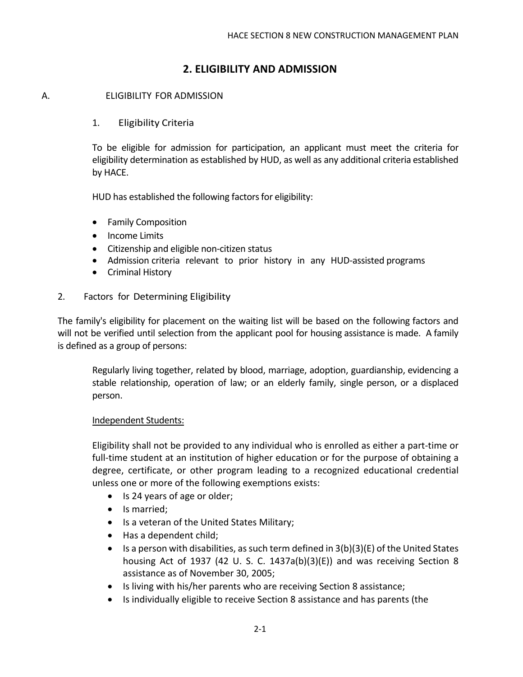## **2. ELIGIBILITY AND ADMISSION**

#### A. ELIGIBILITY FOR ADMISSION

#### 1. Eligibility Criteria

To be eligible for admission for participation, an applicant must meet the criteria for eligibility determination as established by HUD, as well as any additional criteria established by HACE.

HUD has established the following factors for eligibility:

- Family Composition
- Income Limits
- Citizenship and eligible non-citizen status
- Admission criteria relevant to prior history in any HUD-assisted programs
- Criminal History

#### 2. Factors for Determining Eligibility

The family's eligibility for placement on the waiting list will be based on the following factors and will not be verified until selection from the applicant pool for housing assistance is made. A family is defined as a group of persons:

Regularly living together, related by blood, marriage, adoption, guardianship, evidencing a stable relationship, operation of law; or an elderly family, single person, or a displaced person.

#### Independent Students:

Eligibility shall not be provided to any individual who is enrolled as either a part-time or full-time student at an institution of higher education or for the purpose of obtaining a degree, certificate, or other program leading to a recognized educational credential unless one or more of the following exemptions exists:

- Is 24 years of age or older;
- Is married;
- Is a veteran of the United States Military;
- Has a dependent child;
- Is a person with disabilities, as such term defined in  $3(b)(3)(E)$  of the United States housing Act of 1937 (42 U. S. C. 1437a(b)(3)(E)) and was receiving Section 8 assistance as of November 30, 2005;
- Is living with his/her parents who are receiving Section 8 assistance;
- Is individually eligible to receive Section 8 assistance and has parents (the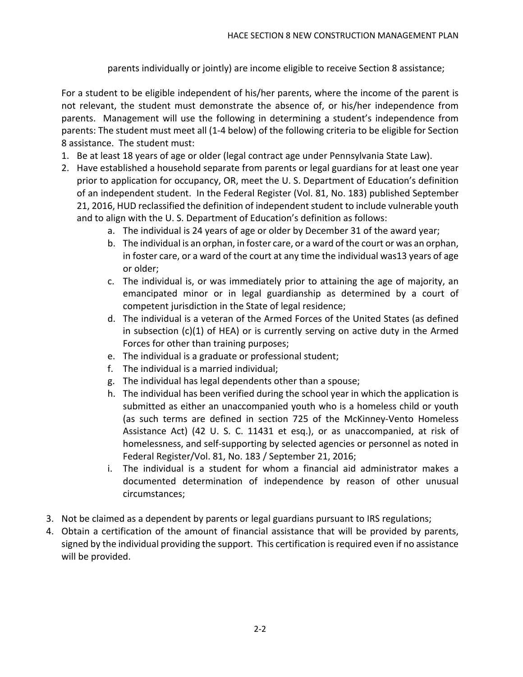parents individually or jointly) are income eligible to receive Section 8 assistance;

For a student to be eligible independent of his/her parents, where the income of the parent is not relevant, the student must demonstrate the absence of, or his/her independence from parents. Management will use the following in determining a student's independence from parents: The student must meet all (1-4 below) of the following criteria to be eligible for Section 8 assistance. The student must:

- 1. Be at least 18 years of age or older (legal contract age under Pennsylvania State Law).
- 2. Have established a household separate from parents or legal guardians for at least one year prior to application for occupancy, OR, meet the U. S. Department of Education's definition of an independent student. In the Federal Register (Vol. 81, No. 183) published September 21, 2016, HUD reclassified the definition of independent student to include vulnerable youth and to align with the U. S. Department of Education's definition as follows:
	- a. The individual is 24 years of age or older by December 31 of the award year;
	- b. The individual is an orphan, in foster care, or a ward of the court or was an orphan, in foster care, or a ward of the court at any time the individual was13 years of age or older;
	- c. The individual is, or was immediately prior to attaining the age of majority, an emancipated minor or in legal guardianship as determined by a court of competent jurisdiction in the State of legal residence;
	- d. The individual is a veteran of the Armed Forces of the United States (as defined in subsection  $(c)(1)$  of HEA) or is currently serving on active duty in the Armed Forces for other than training purposes;
	- e. The individual is a graduate or professional student;
	- f. The individual is a married individual;
	- g. The individual has legal dependents other than a spouse;
	- h. The individual has been verified during the school year in which the application is submitted as either an unaccompanied youth who is a homeless child or youth (as such terms are defined in section 725 of the McKinney-Vento Homeless Assistance Act) (42 U. S. C. 11431 et esq.), or as unaccompanied, at risk of homelessness, and self-supporting by selected agencies or personnel as noted in Federal Register/Vol. 81, No. 183 / September 21, 2016;
	- i. The individual is a student for whom a financial aid administrator makes a documented determination of independence by reason of other unusual circumstances;
- 3. Not be claimed as a dependent by parents or legal guardians pursuant to IRS regulations;
- 4. Obtain a certification of the amount of financial assistance that will be provided by parents, signed by the individual providing the support. This certification is required even if no assistance will be provided.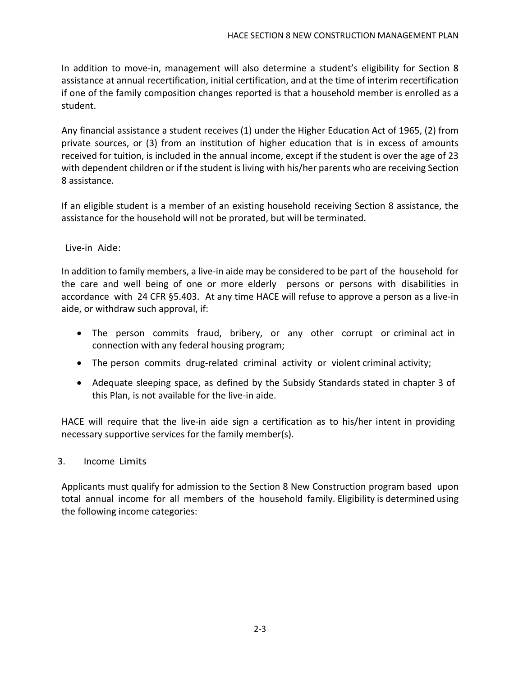In addition to move-in, management will also determine a student's eligibility for Section 8 assistance at annual recertification, initial certification, and at the time of interim recertification if one of the family composition changes reported is that a household member is enrolled as a student.

Any financial assistance a student receives (1) under the Higher Education Act of 1965, (2) from private sources, or (3) from an institution of higher education that is in excess of amounts received for tuition, is included in the annual income, except if the student is over the age of 23 with dependent children or if the student is living with his/her parents who are receiving Section 8 assistance.

If an eligible student is a member of an existing household receiving Section 8 assistance, the assistance for the household will not be prorated, but will be terminated.

#### Live-in Aide:

In addition to family members, a live-in aide may be considered to be part of the household for the care and well being of one or more elderly persons or persons with disabilities in accordance with 24 CFR §5.403. At any time HACE will refuse to approve a person as a live-in aide, or withdraw such approval, if:

- The person commits fraud, bribery, or any other corrupt or criminal act in connection with any federal housing program;
- The person commits drug-related criminal activity or violent criminal activity;
- Adequate sleeping space, as defined by the Subsidy Standards stated in chapter 3 of this Plan, is not available for the live-in aide.

HACE will require that the live-in aide sign a certification as to his/her intent in providing necessary supportive services for the family member(s).

#### 3. Income Limits

Applicants must qualify for admission to the Section 8 New Construction program based upon total annual income for all members of the household family. Eligibility is determined using the following income categories: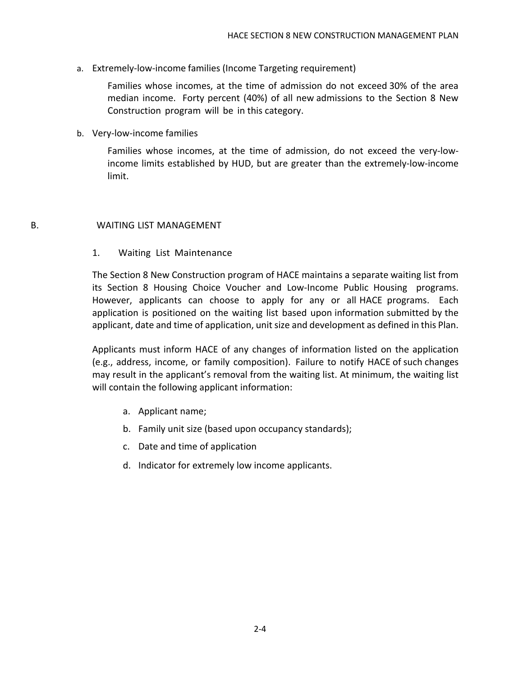a. Extremely-low-income families (Income Targeting requirement)

Families whose incomes, at the time of admission do not exceed 30% of the area median income. Forty percent (40%) of all new admissions to the Section 8 New Construction program will be in this category.

b. Very-low-income families

Families whose incomes, at the time of admission, do not exceed the very-lowincome limits established by HUD, but are greater than the extremely-low-income limit.

#### B. WAITING LIST MANAGEMENT

#### 1. Waiting List Maintenance

The Section 8 New Construction program of HACE maintains a separate waiting list from its Section 8 Housing Choice Voucher and Low-Income Public Housing programs. However, applicants can choose to apply for any or all HACE programs. Each application is positioned on the waiting list based upon information submitted by the applicant, date and time of application, unit size and development as defined in this Plan.

Applicants must inform HACE of any changes of information listed on the application (e.g., address, income, or family composition). Failure to notify HACE of such changes may result in the applicant's removal from the waiting list. At minimum, the waiting list will contain the following applicant information:

- a. Applicant name;
- b. Family unit size (based upon occupancy standards);
- c. Date and time of application
- d. Indicator for extremely low income applicants.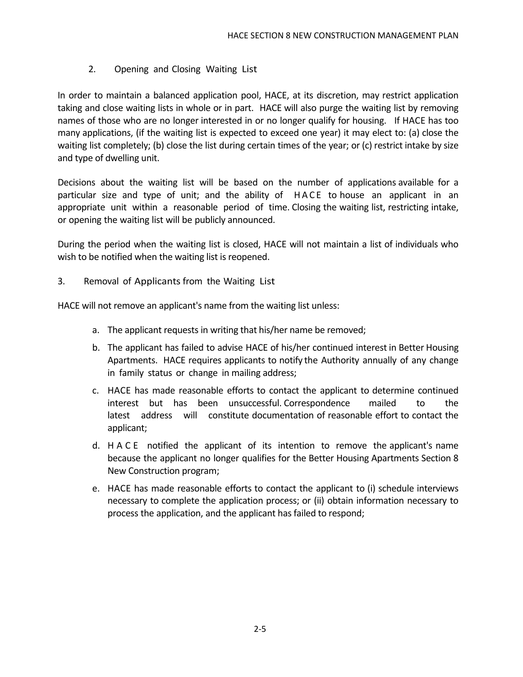#### 2. Opening and Closing Waiting List

In order to maintain a balanced application pool, HACE, at its discretion, may restrict application taking and close waiting lists in whole or in part. HACE will also purge the waiting list by removing names of those who are no longer interested in or no longer qualify for housing. If HACE has too many applications, (if the waiting list is expected to exceed one year) it may elect to: (a) close the waiting list completely; (b) close the list during certain times of the year; or (c) restrict intake by size and type of dwelling unit.

Decisions about the waiting list will be based on the number of applications available for a particular size and type of unit; and the ability of HACE to house an applicant in an appropriate unit within a reasonable period of time. Closing the waiting list, restricting intake, or opening the waiting list will be publicly announced.

During the period when the waiting list is closed, HACE will not maintain a list of individuals who wish to be notified when the waiting list is reopened.

3. Removal of Applicants from the Waiting List

HACE will not remove an applicant's name from the waiting list unless:

- a. The applicant requests in writing that his/her name be removed;
- b. The applicant has failed to advise HACE of his/her continued interest in Better Housing Apartments. HACE requires applicants to notify the Authority annually of any change in family status or change in mailing address;
- c. HACE has made reasonable efforts to contact the applicant to determine continued interest but has been unsuccessful. Correspondence mailed to the latest address will constitute documentation of reasonable effort to contact the applicant;
- d. HACE notified the applicant of its intention to remove the applicant's name because the applicant no longer qualifies for the Better Housing Apartments Section 8 New Construction program;
- e. HACE has made reasonable efforts to contact the applicant to (i) schedule interviews necessary to complete the application process; or (ii) obtain information necessary to process the application, and the applicant has failed to respond;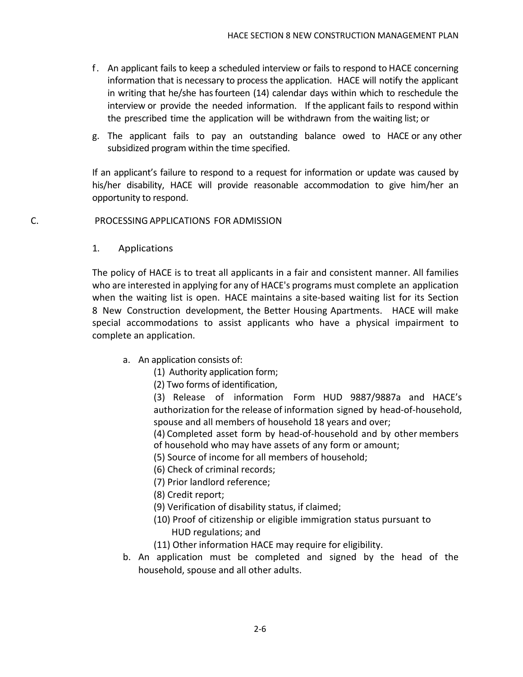- f . An applicant fails to keep a scheduled interview or fails to respond to HACE concerning information that is necessary to process the application. HACE will notify the applicant in writing that he/she has fourteen (14) calendar days within which to reschedule the interview or provide the needed information. If the applicant fails to respond within the prescribed time the application will be withdrawn from the waiting list; or
- g. The applicant fails to pay an outstanding balance owed to HACE or any other subsidized program within the time specified.

If an applicant's failure to respond to a request for information or update was caused by his/her disability, HACE will provide reasonable accommodation to give him/her an opportunity to respond.

#### C. PROCESSING APPLICATIONS FOR ADMISSION

1. Applications

The policy of HACE is to treat all applicants in a fair and consistent manner. All families who are interested in applying for any of HACE's programs must complete an application when the waiting list is open. HACE maintains a site-based waiting list for its Section 8 New Construction development, the Better Housing Apartments. HACE will make special accommodations to assist applicants who have a physical impairment to complete an application.

- a. An application consists of:
	- (1) Authority application form;
	- (2) Two forms of identification,

(3) Release of information Form HUD 9887/9887a and HACE's authorization for the release of information signed by head-of-household, spouse and all members of household 18 years and over;

(4) Completed asset form by head-of-household and by other members of household who may have assets of any form or amount;

- (5) Source of income for all members of household;
- (6) Check of criminal records;
- (7) Prior landlord reference;
- (8) Credit report;
- (9) Verification of disability status, if claimed;
- (10) Proof of citizenship or eligible immigration status pursuant to HUD regulations; and
- (11) Other information HACE may require for eligibility.
- b. An application must be completed and signed by the head of the household, spouse and all other adults.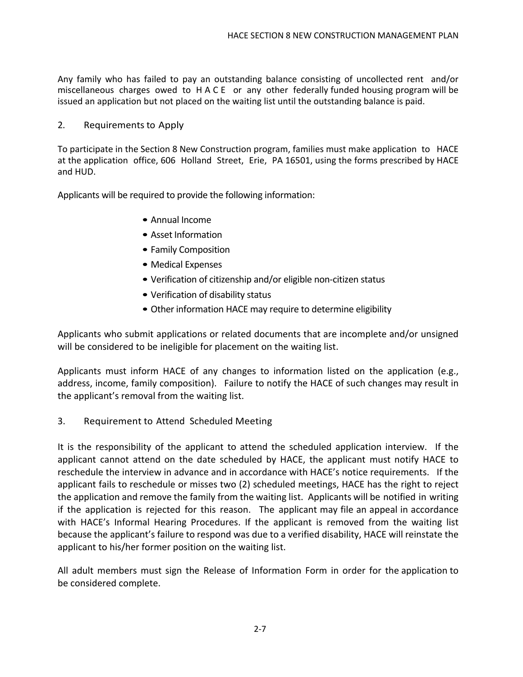Any family who has failed to pay an outstanding balance consisting of uncollected rent and/or miscellaneous charges owed to HACE or any other federally funded housing program will be issued an application but not placed on the waiting list until the outstanding balance is paid.

#### 2. Requirements to Apply

To participate in the Section 8 New Construction program, families must make application to HACE at the application office, 606 Holland Street, Erie, PA 16501, using the forms prescribed by HACE and HUD.

Applicants will be required to provide the following information:

- Annual Income
- Asset Information
- Family Composition
- Medical Expenses
- Verification of citizenship and/or eligible non-citizen status
- Verification of disability status
- Other information HACE may require to determine eligibility

Applicants who submit applications or related documents that are incomplete and/or unsigned will be considered to be ineligible for placement on the waiting list.

Applicants must inform HACE of any changes to information listed on the application (e.g., address, income, family composition). Failure to notify the HACE of such changes may result in the applicant's removal from the waiting list.

3. Requirement to Attend Scheduled Meeting

It is the responsibility of the applicant to attend the scheduled application interview. If the applicant cannot attend on the date scheduled by HACE, the applicant must notify HACE to reschedule the interview in advance and in accordance with HACE's notice requirements. If the applicant fails to reschedule or misses two (2) scheduled meetings, HACE has the right to reject the application and remove the family from the waiting list. Applicants will be notified in writing if the application is rejected for this reason. The applicant may file an appeal in accordance with HACE's Informal Hearing Procedures. If the applicant is removed from the waiting list because the applicant's failure to respond was due to a verified disability, HACE will reinstate the applicant to his/her former position on the waiting list.

All adult members must sign the Release of Information Form in order for the application to be considered complete.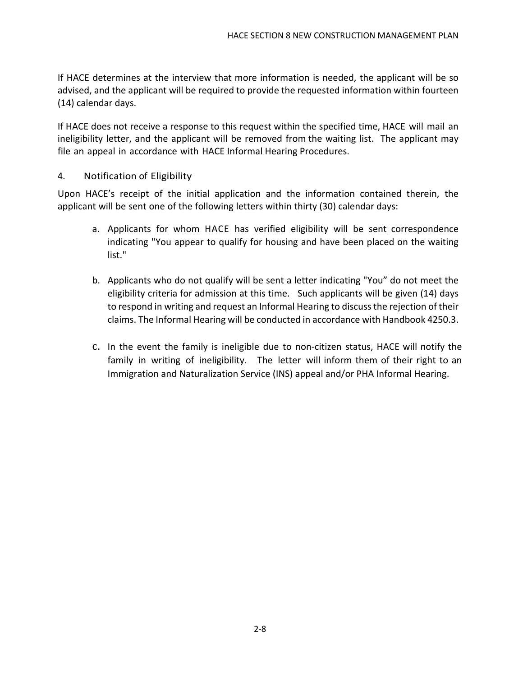If HACE determines at the interview that more information is needed, the applicant will be so advised, and the applicant will be required to provide the requested information within fourteen (14) calendar days.

If HACE does not receive a response to this request within the specified time, HACE will mail an ineligibility letter, and the applicant will be removed from the waiting list. The applicant may file an appeal in accordance with HACE Informal Hearing Procedures.

#### 4. Notification of Eligibility

Upon HACE's receipt of the initial application and the information contained therein, the applicant will be sent one of the following letters within thirty (30) calendar days:

- a. Applicants for whom HACE has verified eligibility will be sent correspondence indicating "You appear to qualify for housing and have been placed on the waiting list."
- b. Applicants who do not qualify will be sent a letter indicating "You" do not meet the eligibility criteria for admission at this time. Such applicants will be given (14) days to respond in writing and request an Informal Hearing to discuss the rejection of their claims. The Informal Hearing will be conducted in accordance with Handbook 4250.3.
- c. In the event the family is ineligible due to non-citizen status, HACE will notify the family in writing of ineligibility. The letter will inform them of their right to an Immigration and Naturalization Service (INS) appeal and/or PHA Informal Hearing.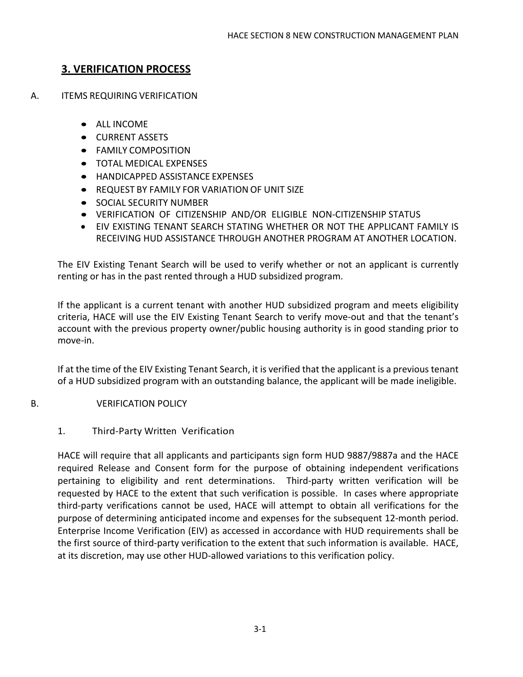# **3. VERIFICATION PROCESS**

- A. ITEMS REQUIRING VERIFICATION
	- ALL INCOME
	- CURRENT ASSETS
	- FAMILY COMPOSITION
	- TOTAL MEDICAL EXPENSES
	- HANDICAPPED ASSISTANCE EXPENSES
	- REQUEST BY FAMILY FOR VARIATION OF UNIT SIZE
	- **SOCIAL SECURITY NUMBER**
	- VERIFICATION OF CITIZENSHIP AND/OR ELIGIBLE NON-CITIZENSHIP STATUS
	- EIV EXISTING TENANT SEARCH STATING WHETHER OR NOT THE APPLICANT FAMILY IS RECEIVING HUD ASSISTANCE THROUGH ANOTHER PROGRAM AT ANOTHER LOCATION.

The EIV Existing Tenant Search will be used to verify whether or not an applicant is currently renting or has in the past rented through a HUD subsidized program.

If the applicant is a current tenant with another HUD subsidized program and meets eligibility criteria, HACE will use the EIV Existing Tenant Search to verify move-out and that the tenant's account with the previous property owner/public housing authority is in good standing prior to move-in.

If at the time of the EIV Existing Tenant Search, it is verified that the applicant is a previous tenant of a HUD subsidized program with an outstanding balance, the applicant will be made ineligible.

B. VERIFICATION POLICY

#### 1. Third-Party Written Verification

HACE will require that all applicants and participants sign form HUD 9887/9887a and the HACE required Release and Consent form for the purpose of obtaining independent verifications pertaining to eligibility and rent determinations. Third-party written verification will be requested by HACE to the extent that such verification is possible. In cases where appropriate third-party verifications cannot be used, HACE will attempt to obtain all verifications for the purpose of determining anticipated income and expenses for the subsequent 12-month period. Enterprise Income Verification (EIV) as accessed in accordance with HUD requirements shall be the first source of third-party verification to the extent that such information is available. HACE, at its discretion, may use other HUD-allowed variations to this verification policy.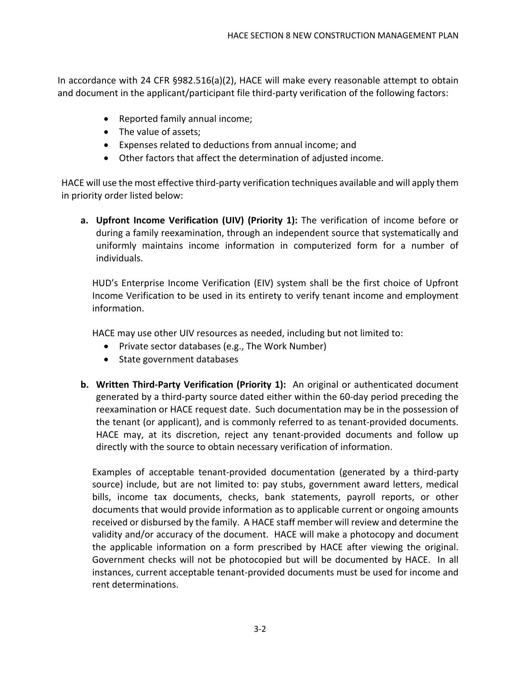In accordance with 24 CFR §982.516(a)(2), HACE will make every reasonable attempt to obtain and document in the applicant/participant file third-party verification of the following factors:

- Reported family annual income;
- The value of assets;
- Expenses related to deductions from annual income; and
- Other factors that affect the determination of adjusted income.

HACE will use the most effective third-party verification techniques available and will apply them in priority order listed below:

**a. Upfront Income Verification (UIV) (Priority 1):** The verification of income before or during a family reexamination, through an independent source that systematically and uniformly maintains income information in computerized form for a number of individuals.

HUD's Enterprise Income Verification (EIV) system shall be the first choice of Upfront Income Verification to be used in its entirety to verify tenant income and employment information.

HACE may use other UIV resources as needed, including but not limited to:

- Private sector databases (e.g., The Work Number)
- State government databases
- **b. Written Third-Party Verification (Priority 1):** An original or authenticated document generated by a third-party source dated either within the 60-day period preceding the reexamination or HACE request date. Such documentation may be in the possession of the tenant (or applicant), and is commonly referred to as tenant-provided documents. HACE may, at its discretion, reject any tenant-provided documents and follow up directly with the source to obtain necessary verification of information.

Examples of acceptable tenant-provided documentation (generated by a third-party source) include, but are not limited to: pay stubs, government award letters, medical bills, income tax documents, checks, bank statements, payroll reports, or other documents that would provide information as to applicable current or ongoing amounts received or disbursed by the family. A HACE staff member will review and determine the validity and/or accuracy of the document. HACE will make a photocopy and document the applicable information on a form prescribed by HACE after viewing the original. Government checks will not be photocopied but will be documented by HACE. In all instances, current acceptable tenant-provided documents must be used for income and rent determinations.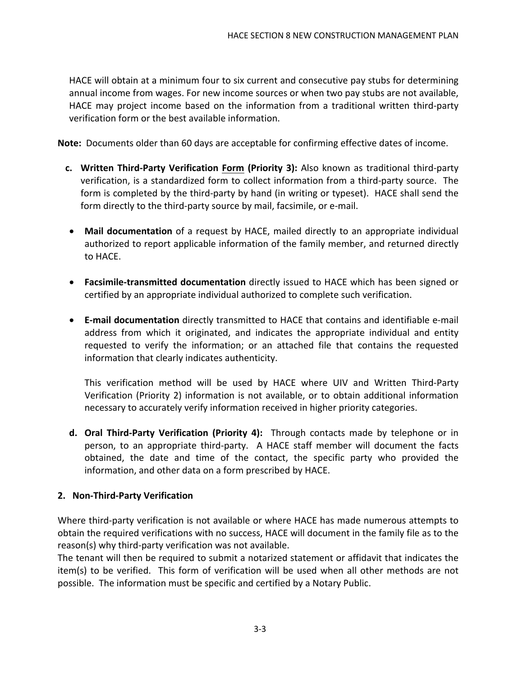HACE will obtain at a minimum four to six current and consecutive pay stubs for determining annual income from wages. For new income sources or when two pay stubs are not available, HACE may project income based on the information from a traditional written third-party verification form or the best available information.

**Note:** Documents older than 60 days are acceptable for confirming effective dates of income.

- **c. Written Third-Party Verification Form (Priority 3):** Also known as traditional third-party verification, is a standardized form to collect information from a third-party source. The form is completed by the third-party by hand (in writing or typeset). HACE shall send the form directly to the third-party source by mail, facsimile, or e-mail.
- **Mail documentation** of a request by HACE, mailed directly to an appropriate individual authorized to report applicable information of the family member, and returned directly to HACE.
- **Facsimile-transmitted documentation** directly issued to HACE which has been signed or certified by an appropriate individual authorized to complete such verification.
- **E-mail documentation** directly transmitted to HACE that contains and identifiable e-mail address from which it originated, and indicates the appropriate individual and entity requested to verify the information; or an attached file that contains the requested information that clearly indicates authenticity.

This verification method will be used by HACE where UIV and Written Third-Party Verification (Priority 2) information is not available, or to obtain additional information necessary to accurately verify information received in higher priority categories.

**d. Oral Third-Party Verification (Priority 4):** Through contacts made by telephone or in person, to an appropriate third-party. A HACE staff member will document the facts obtained, the date and time of the contact, the specific party who provided the information, and other data on a form prescribed by HACE.

#### **2. Non-Third-Party Verification**

Where third-party verification is not available or where HACE has made numerous attempts to obtain the required verifications with no success, HACE will document in the family file as to the reason(s) why third-party verification was not available.

The tenant will then be required to submit a notarized statement or affidavit that indicates the item(s) to be verified. This form of verification will be used when all other methods are not possible. The information must be specific and certified by a Notary Public.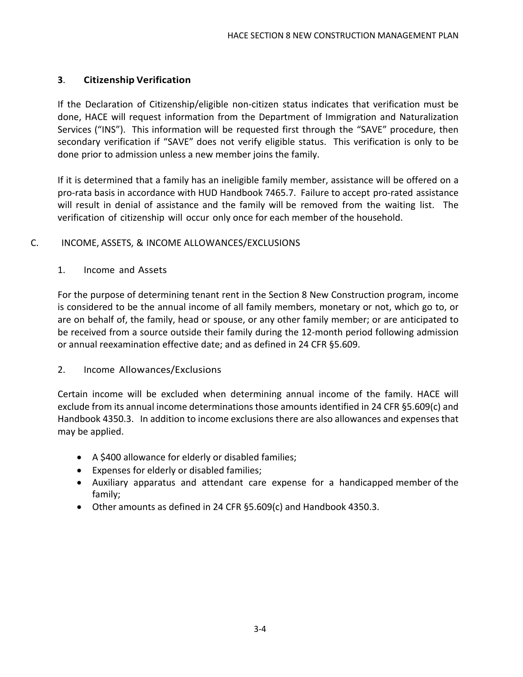#### **3**. **Citizenship Verification**

If the Declaration of Citizenship/eligible non-citizen status indicates that verification must be done, HACE will request information from the Department of Immigration and Naturalization Services ("INS"). This information will be requested first through the "SAVE" procedure, then secondary verification if "SAVE" does not verify eligible status. This verification is only to be done prior to admission unless a new member joins the family.

If it is determined that a family has an ineligible family member, assistance will be offered on a pro-rata basis in accordance with HUD Handbook 7465.7. Failure to accept pro-rated assistance will result in denial of assistance and the family will be removed from the waiting list. The verification of citizenship will occur only once for each member of the household.

#### C. INCOME, ASSETS, & INCOME ALLOWANCES/EXCLUSIONS

#### 1. Income and Assets

For the purpose of determining tenant rent in the Section 8 New Construction program, income is considered to be the annual income of all family members, monetary or not, which go to, or are on behalf of, the family, head or spouse, or any other family member; or are anticipated to be received from a source outside their family during the 12-month period following admission or annual reexamination effective date; and as defined in 24 CFR §5.609.

#### 2. Income Allowances/Exclusions

Certain income will be excluded when determining annual income of the family. HACE will exclude from its annual income determinations those amounts identified in 24 CFR §5.609(c) and Handbook 4350.3. In addition to income exclusions there are also allowances and expenses that may be applied.

- A \$400 allowance for elderly or disabled families;
- Expenses for elderly or disabled families;
- Auxiliary apparatus and attendant care expense for a handicapped member of the family;
- Other amounts as defined in 24 CFR §5.609(c) and Handbook 4350.3.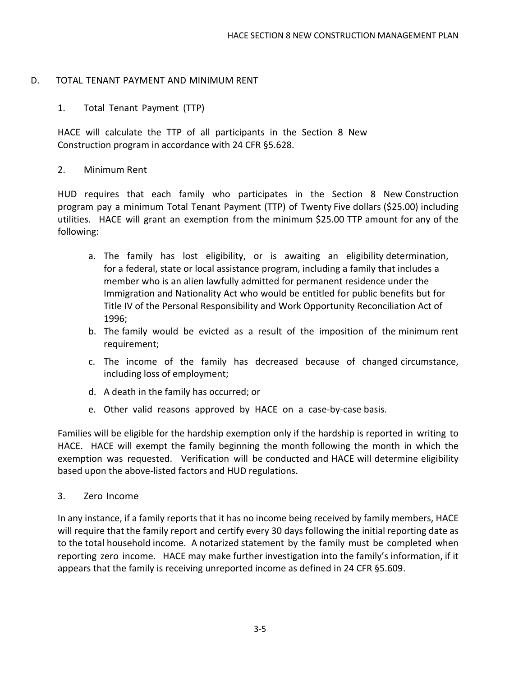#### D. TOTAL TENANT PAYMENT AND MINIMUM RENT

#### 1. Total Tenant Payment (TTP)

HACE will calculate the TTP of all participants in the Section 8 New Construction program in accordance with 24 CFR §5.628.

#### 2. Minimum Rent

HUD requires that each family who participates in the Section 8 New Construction program pay a minimum Total Tenant Payment (TTP) of Twenty Five dollars (\$25.00) including utilities. HACE will grant an exemption from the minimum \$25.00 TTP amount for any of the following:

- a. The family has lost eligibility, or is awaiting an eligibility determination, for a federal, state or local assistance program, including a family that includes a member who is an alien lawfully admitted for permanent residence under the Immigration and Nationality Act who would be entitled for public benefits but for Title IV of the Personal Responsibility and Work Opportunity Reconciliation Act of 1996;
- b. The family would be evicted as a result of the imposition of the minimum rent requirement;
- c. The income of the family has decreased because of changed circumstance, including loss of employment;
- d. A death in the family has occurred; or
- e. Other valid reasons approved by HACE on a case-by-case basis.

Families will be eligible for the hardship exemption only if the hardship is reported in writing to HACE. HACE will exempt the family beginning the month following the month in which the exemption was requested. Verification will be conducted and HACE will determine eligibility based upon the above-listed factors and HUD regulations.

#### 3. Zero Income

In any instance, if a family reports that it has no income being received by family members, HACE will require that the family report and certify every 30 days following the initial reporting date as to the total household income. A notarized statement by the family must be completed when reporting zero income. HACE may make further investigation into the family's information, if it appears that the family is receiving unreported income as defined in 24 CFR §5.609.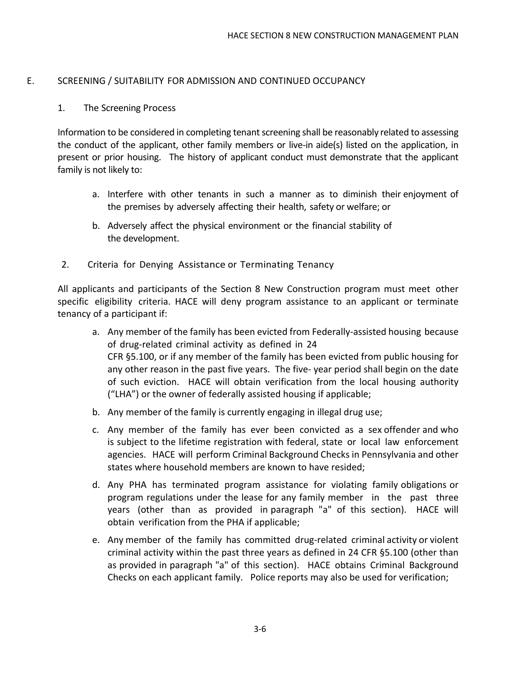#### E. SCREENING / SUITABILITY FOR ADMISSION AND CONTINUED OCCUPANCY

#### 1. The Screening Process

Information to be considered in completing tenant screening shall be reasonably related to assessing the conduct of the applicant, other family members or live-in aide(s) listed on the application, in present or prior housing. The history of applicant conduct must demonstrate that the applicant family is not likely to:

- a. Interfere with other tenants in such a manner as to diminish their enjoyment of the premises by adversely affecting their health, safety or welfare; or
- b. Adversely affect the physical environment or the financial stability of the development.
- 2. Criteria for Denying Assistance or Terminating Tenancy

All applicants and participants of the Section 8 New Construction program must meet other specific eligibility criteria. HACE will deny program assistance to an applicant or terminate tenancy of a participant if:

- a. Any member of the family has been evicted from Federally-assisted housing because of drug-related criminal activity as defined in 24 CFR §5.100, or if any member of the family has been evicted from public housing for any other reason in the past five years. The five- year period shall begin on the date of such eviction. HACE will obtain verification from the local housing authority ("LHA") or the owner of federally assisted housing if applicable;
- b. Any member of the family is currently engaging in illegal drug use;
- c. Any member of the family has ever been convicted as a sex offender and who is subject to the lifetime registration with federal, state or local law enforcement agencies. HACE will perform Criminal Background Checks in Pennsylvania and other states where household members are known to have resided;
- d. Any PHA has terminated program assistance for violating family obligations or program regulations under the lease for any family member in the past three years (other than as provided in paragraph "a" of this section). HACE will obtain verification from the PHA if applicable;
- e. Any member of the family has committed drug-related criminal activity or violent criminal activity within the past three years as defined in 24 CFR §5.100 (other than as provided in paragraph "a" of this section). HACE obtains Criminal Background Checks on each applicant family. Police reports may also be used for verification;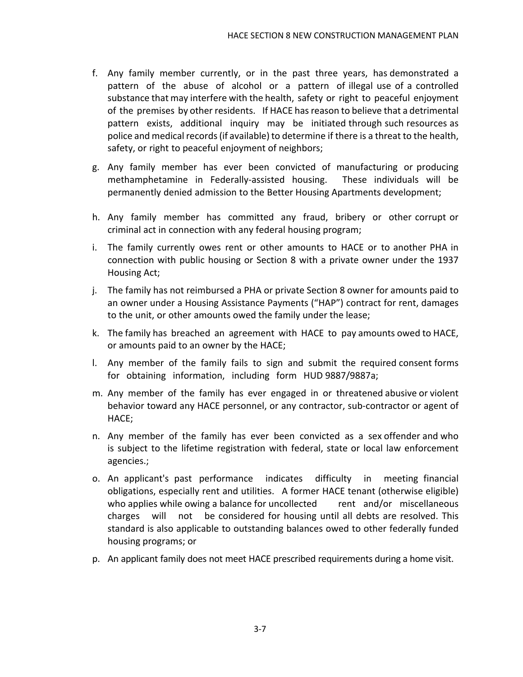- f. Any family member currently, or in the past three years, has demonstrated a pattern of the abuse of alcohol or a pattern of illegal use of a controlled substance that may interfere with the health, safety or right to peaceful enjoyment of the premises by other residents. If HACE hasreason to believe that a detrimental pattern exists, additional inquiry may be initiated through such resources as police and medical records (if available) to determine if there is a threat to the health, safety, or right to peaceful enjoyment of neighbors;
- g. Any family member has ever been convicted of manufacturing or producing methamphetamine in Federally-assisted housing. These individuals will be permanently denied admission to the Better Housing Apartments development;
- h. Any family member has committed any fraud, bribery or other corrupt or criminal act in connection with any federal housing program;
- i. The family currently owes rent or other amounts to HACE or to another PHA in connection with public housing or Section 8 with a private owner under the 1937 Housing Act;
- j. The family has not reimbursed a PHA or private Section 8 owner for amounts paid to an owner under a Housing Assistance Payments ("HAP") contract for rent, damages to the unit, or other amounts owed the family under the lease;
- k. The family has breached an agreement with HACE to pay amounts owed to HACE, or amounts paid to an owner by the HACE;
- l. Any member of the family fails to sign and submit the required consent forms for obtaining information, including form HUD 9887/9887a;
- m. Any member of the family has ever engaged in or threatened abusive or violent behavior toward any HACE personnel, or any contractor, sub-contractor or agent of HACE;
- n. Any member of the family has ever been convicted as a sex offender and who is subject to the lifetime registration with federal, state or local law enforcement agencies.;
- o. An applicant's past performance indicates difficulty in meeting financial obligations, especially rent and utilities. A former HACE tenant (otherwise eligible) who applies while owing a balance for uncollected rent and/or miscellaneous charges will not be considered for housing until all debts are resolved. This standard is also applicable to outstanding balances owed to other federally funded housing programs; or
- p. An applicant family does not meet HACE prescribed requirements during a home visit.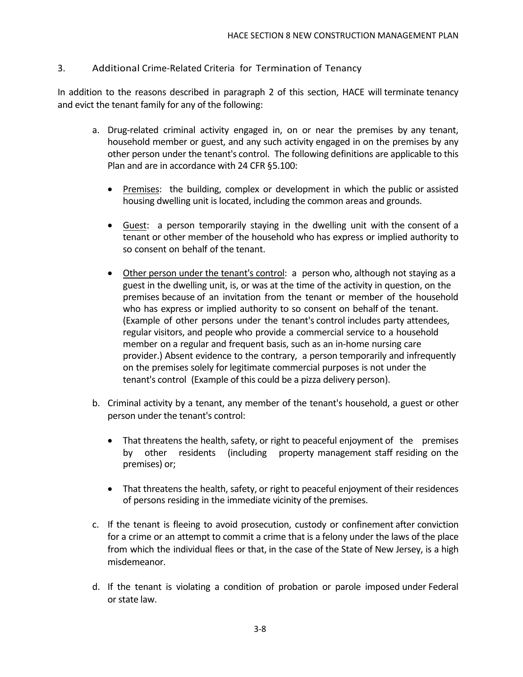#### 3. Additional Crime-Related Criteria for Termination of Tenancy

In addition to the reasons described in paragraph 2 of this section, HACE will terminate tenancy and evict the tenant family for any of the following:

- a. Drug-related criminal activity engaged in, on or near the premises by any tenant, household member or guest, and any such activity engaged in on the premises by any other person under the tenant's control. The following definitions are applicable to this Plan and are in accordance with 24 CFR §5.100:
	- Premises: the building, complex or development in which the public or assisted housing dwelling unit is located, including the common areas and grounds.
	- Guest: a person temporarily staying in the dwelling unit with the consent of a tenant or other member of the household who has express or implied authority to so consent on behalf of the tenant.
	- Other person under the tenant's control: a person who, although not staying as a guest in the dwelling unit, is, or was at the time of the activity in question, on the premises because of an invitation from the tenant or member of the household who has express or implied authority to so consent on behalf of the tenant. (Example of other persons under the tenant's control includes party attendees, regular visitors, and people who provide a commercial service to a household member on a regular and frequent basis, such as an in-home nursing care provider.) Absent evidence to the contrary, a person temporarily and infrequently on the premises solely for legitimate commercial purposes is not under the tenant's control (Example of this could be a pizza delivery person).
- b. Criminal activity by a tenant, any member of the tenant's household, a guest or other person under the tenant's control:
	- That threatens the health, safety, or right to peaceful enjoyment of the premises by other residents (including property management staff residing on the premises) or;
	- That threatens the health, safety, or right to peaceful enjoyment of their residences of persons residing in the immediate vicinity of the premises.
- c. If the tenant is fleeing to avoid prosecution, custody or confinement after conviction for a crime or an attempt to commit a crime that is a felony under the laws of the place from which the individual flees or that, in the case of the State of New Jersey, is a high misdemeanor.
- d. If the tenant is violating a condition of probation or parole imposed under Federal or state law.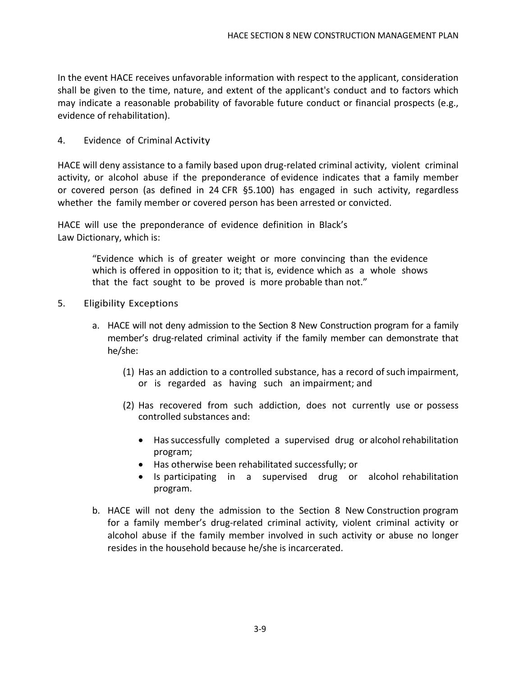In the event HACE receives unfavorable information with respect to the applicant, consideration shall be given to the time, nature, and extent of the applicant's conduct and to factors which may indicate a reasonable probability of favorable future conduct or financial prospects (e.g., evidence of rehabilitation).

#### 4. Evidence of Criminal Activity

HACE will deny assistance to a family based upon drug-related criminal activity, violent criminal activity, or alcohol abuse if the preponderance of evidence indicates that a family member or covered person (as defined in 24 CFR §5.100) has engaged in such activity, regardless whether the family member or covered person has been arrested or convicted.

HACE will use the preponderance of evidence definition in Black's Law Dictionary, which is:

> "Evidence which is of greater weight or more convincing than the evidence which is offered in opposition to it; that is, evidence which as a whole shows that the fact sought to be proved is more probable than not."

- 5. Eligibility Exceptions
	- a. HACE will not deny admission to the Section 8 New Construction program for a family member's drug-related criminal activity if the family member can demonstrate that he/she:
		- (1) Has an addiction to a controlled substance, has a record of such impairment, or is regarded as having such an impairment; and
		- (2) Has recovered from such addiction, does not currently use or possess controlled substances and:
			- Has successfully completed a supervised drug or alcohol rehabilitation program;
			- Has otherwise been rehabilitated successfully; or
			- Is participating in a supervised drug or alcohol rehabilitation program.
	- b. HACE will not deny the admission to the Section 8 New Construction program for a family member's drug-related criminal activity, violent criminal activity or alcohol abuse if the family member involved in such activity or abuse no longer resides in the household because he/she is incarcerated.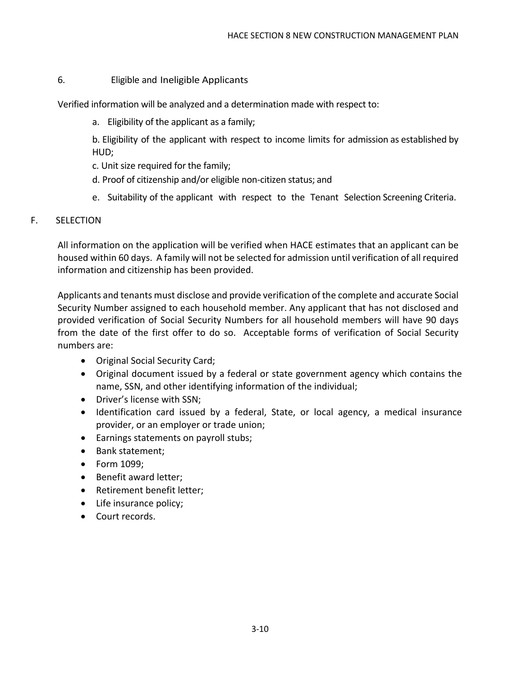#### 6. Eligible and Ineligible Applicants

Verified information will be analyzed and a determination made with respect to:

a. Eligibility of the applicant as a family;

b. Eligibility of the applicant with respect to income limits for admission as established by HUD;

- c. Unit size required for the family;
- d. Proof of citizenship and/or eligible non-citizen status; and
- e. Suitability of the applicant with respect to the Tenant Selection Screening Criteria.

#### F. SELECTION

All information on the application will be verified when HACE estimates that an applicant can be housed within 60 days. A family will not be selected for admission until verification of all required information and citizenship has been provided.

Applicants and tenants must disclose and provide verification of the complete and accurate Social Security Number assigned to each household member. Any applicant that has not disclosed and provided verification of Social Security Numbers for all household members will have 90 days from the date of the first offer to do so. Acceptable forms of verification of Social Security numbers are:

- Original Social Security Card;
- Original document issued by a federal or state government agency which contains the name, SSN, and other identifying information of the individual;
- Driver's license with SSN;
- Identification card issued by a federal, State, or local agency, a medical insurance provider, or an employer or trade union;
- Earnings statements on payroll stubs;
- Bank statement;
- Form 1099;
- Benefit award letter;
- Retirement benefit letter;
- Life insurance policy;
- Court records.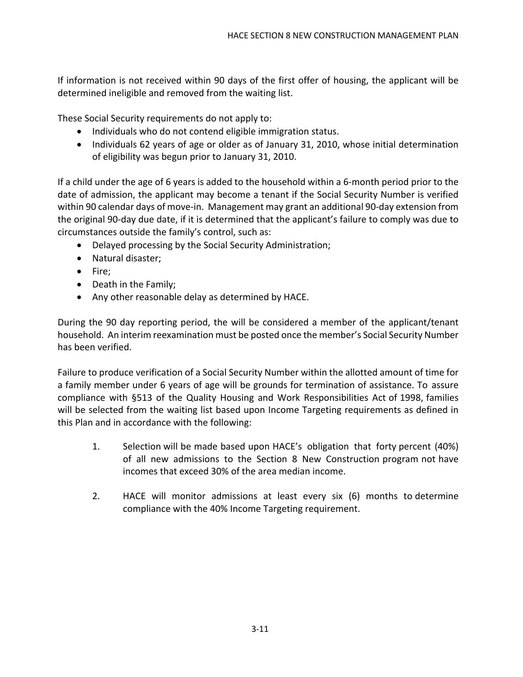If information is not received within 90 days of the first offer of housing, the applicant will be determined ineligible and removed from the waiting list.

These Social Security requirements do not apply to:

- Individuals who do not contend eligible immigration status.
- Individuals 62 years of age or older as of January 31, 2010, whose initial determination of eligibility was begun prior to January 31, 2010.

If a child under the age of 6 years is added to the household within a 6-month period prior to the date of admission, the applicant may become a tenant if the Social Security Number is verified within 90 calendar days of move-in. Management may grant an additional 90-day extension from the original 90-day due date, if it is determined that the applicant's failure to comply was due to circumstances outside the family's control, such as:

- Delayed processing by the Social Security Administration;
- Natural disaster;
- Fire;
- Death in the Family;
- Any other reasonable delay as determined by HACE.

During the 90 day reporting period, the will be considered a member of the applicant/tenant household. An interim reexamination must be posted once the member's Social Security Number has been verified.

Failure to produce verification of a Social Security Number within the allotted amount of time for a family member under 6 years of age will be grounds for termination of assistance. To assure compliance with §513 of the Quality Housing and Work Responsibilities Act of 1998, families will be selected from the waiting list based upon Income Targeting requirements as defined in this Plan and in accordance with the following:

- 1. Selection will be made based upon HACE's obligation that forty percent (40%) of all new admissions to the Section 8 New Construction program not have incomes that exceed 30% of the area median income.
- 2. HACE will monitor admissions at least every six (6) months to determine compliance with the 40% Income Targeting requirement.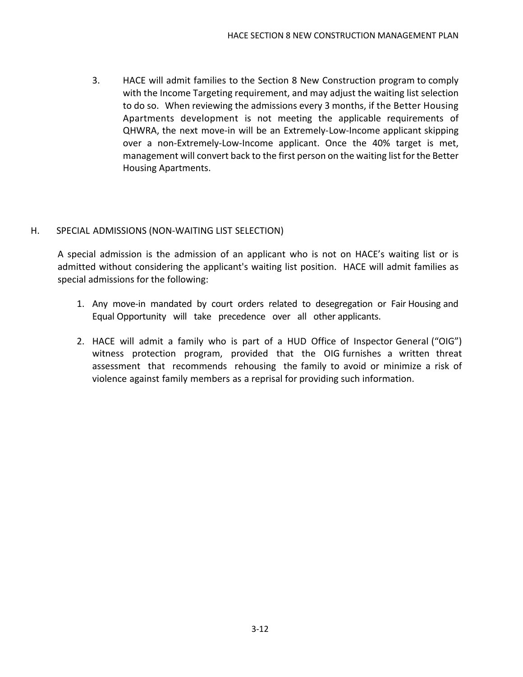3. HACE will admit families to the Section 8 New Construction program to comply with the Income Targeting requirement, and may adjust the waiting list selection to do so. When reviewing the admissions every 3 months, if the Better Housing Apartments development is not meeting the applicable requirements of QHWRA, the next move-in will be an Extremely-Low-Income applicant skipping over a non-Extremely-Low-Income applicant. Once the 40% target is met, management will convert back to the first person on the waiting list for the Better Housing Apartments.

#### H. SPECIAL ADMISSIONS (NON-WAITING LIST SELECTION)

A special admission is the admission of an applicant who is not on HACE's waiting list or is admitted without considering the applicant's waiting list position. HACE will admit families as special admissions for the following:

- 1. Any move-in mandated by court orders related to desegregation or Fair Housing and Equal Opportunity will take precedence over all other applicants.
- 2. HACE will admit a family who is part of a HUD Office of Inspector General ("OIG") witness protection program, provided that the OIG furnishes a written threat assessment that recommends rehousing the family to avoid or minimize a risk of violence against family members as a reprisal for providing such information.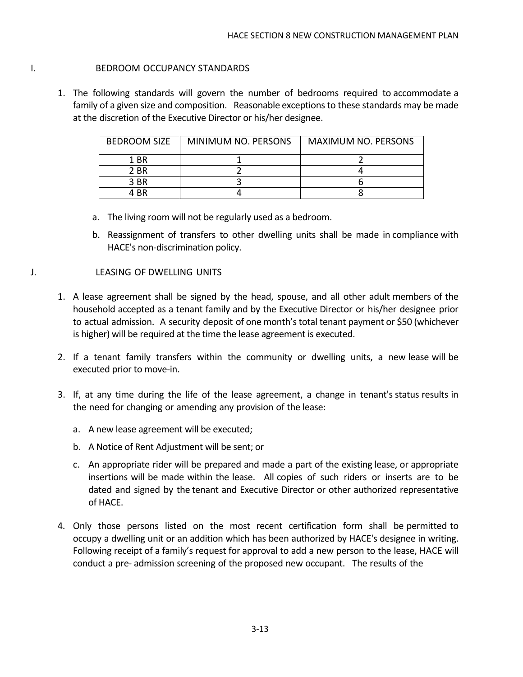#### I. BEDROOM OCCUPANCY STANDARDS

1. The following standards will govern the number of bedrooms required to accommodate a family of a given size and composition. Reasonable exceptions to these standards may be made at the discretion of the Executive Director or his/her designee.

| <b>BEDROOM SIZE</b> | MINIMUM NO. PERSONS | <b>MAXIMUM NO. PERSONS</b> |
|---------------------|---------------------|----------------------------|
| 1 BR                |                     |                            |
| 2 BR                |                     |                            |
| 3 BR                |                     |                            |
| 4 RR                |                     |                            |

- a. The living room will not be regularly used as a bedroom.
- b. Reassignment of transfers to other dwelling units shall be made in compliance with HACE's non-discrimination policy.

#### J. LEASING OF DWELLING UNITS

- 1. A lease agreement shall be signed by the head, spouse, and all other adult members of the household accepted as a tenant family and by the Executive Director or his/her designee prior to actual admission. A security deposit of one month's total tenant payment or \$50 (whichever is higher) will be required at the time the lease agreement is executed.
- 2. If a tenant family transfers within the community or dwelling units, a new lease will be executed prior to move-in.
- 3. If, at any time during the life of the lease agreement, a change in tenant's status results in the need for changing or amending any provision of the lease:
	- a. A new lease agreement will be executed;
	- b. A Notice of Rent Adjustment will be sent; or
	- c. An appropriate rider will be prepared and made a part of the existing lease, or appropriate insertions will be made within the lease. All copies of such riders or inserts are to be dated and signed by the tenant and Executive Director or other authorized representative of HACE.
- 4. Only those persons listed on the most recent certification form shall be permitted to occupy a dwelling unit or an addition which has been authorized by HACE's designee in writing. Following receipt of a family's request for approval to add a new person to the lease, HACE will conduct a pre- admission screening of the proposed new occupant. The results of the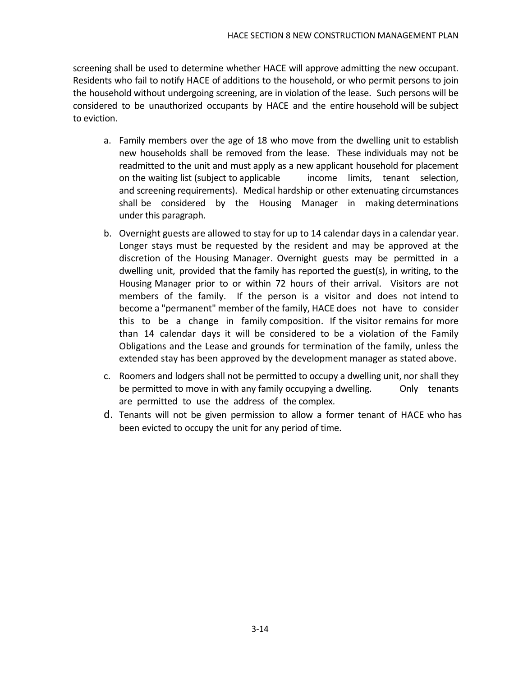screening shall be used to determine whether HACE will approve admitting the new occupant. Residents who fail to notify HACE of additions to the household, or who permit persons to join the household without undergoing screening, are in violation of the lease. Such persons will be considered to be unauthorized occupants by HACE and the entire household will be subject to eviction.

- a. Family members over the age of 18 who move from the dwelling unit to establish new households shall be removed from the lease. These individuals may not be readmitted to the unit and must apply as a new applicant household for placement on the waiting list (subject to applicable income limits, tenant selection, and screening requirements). Medical hardship or other extenuating circumstances shall be considered by the Housing Manager in making determinations under this paragraph.
- b. Overnight guests are allowed to stay for up to 14 calendar days in a calendar year. Longer stays must be requested by the resident and may be approved at the discretion of the Housing Manager. Overnight guests may be permitted in a dwelling unit, provided that the family has reported the guest(s), in writing, to the Housing Manager prior to or within 72 hours of their arrival. Visitors are not members of the family. If the person is a visitor and does not intend to become a "permanent" member of the family, HACE does not have to consider this to be a change in family composition. If the visitor remains for more than 14 calendar days it will be considered to be a violation of the Family Obligations and the Lease and grounds for termination of the family, unless the extended stay has been approved by the development manager as stated above.
- c. Roomers and lodgers shall not be permitted to occupy a dwelling unit, nor shall they be permitted to move in with any family occupying a dwelling. Conly tenants are permitted to use the address of the complex.
- d. Tenants will not be given permission to allow a former tenant of HACE who has been evicted to occupy the unit for any period of time.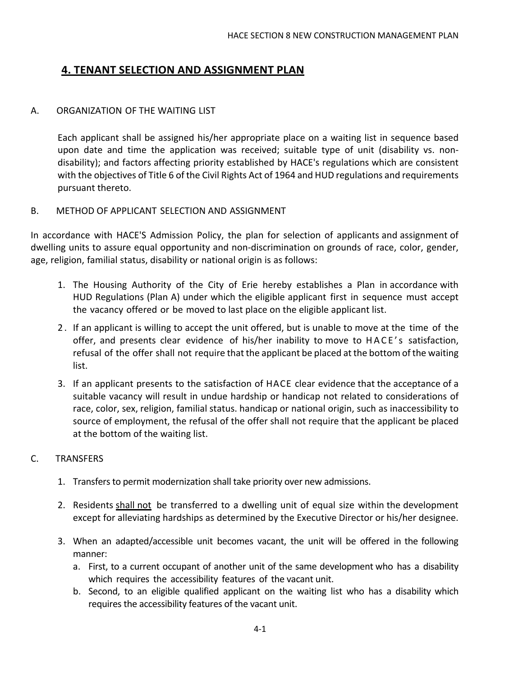# **4. TENANT SELECTION AND ASSIGNMENT PLAN**

#### A. ORGANIZATION OF THE WAITING LIST

Each applicant shall be assigned his/her appropriate place on a waiting list in sequence based upon date and time the application was received; suitable type of unit (disability vs. nondisability); and factors affecting priority established by HACE's regulations which are consistent with the objectives of Title 6 of the Civil Rights Act of 1964 and HUD regulations and requirements pursuant thereto.

#### B. METHOD OF APPLICANT SELECTION AND ASSIGNMENT

In accordance with HACE'S Admission Policy, the plan for selection of applicants and assignment of dwelling units to assure equal opportunity and non-discrimination on grounds of race, color, gender, age, religion, familial status, disability or national origin is as follows:

- 1. The Housing Authority of the City of Erie hereby establishes a Plan in accordance with HUD Regulations (Plan A) under which the eligible applicant first in sequence must accept the vacancy offered or be moved to last place on the eligible applicant list.
- 2 . If an applicant is willing to accept the unit offered, but is unable to move at the time of the offer, and presents clear evidence of his/her inability to move to HACE's satisfaction, refusal of the offer shall not require that the applicant be placed at the bottom of the waiting list.
- 3. If an applicant presents to the satisfaction of HACE clear evidence that the acceptance of a suitable vacancy will result in undue hardship or handicap not related to considerations of race, color, sex, religion, familial status. handicap or national origin, such as inaccessibility to source of employment, the refusal of the offer shall not require that the applicant be placed at the bottom of the waiting list.

#### C. TRANSFERS

- 1. Transfers to permit modernization shall take priority over new admissions.
- 2. Residents shall not be transferred to a dwelling unit of equal size within the development except for alleviating hardships as determined by the Executive Director or his/her designee.
- 3. When an adapted/accessible unit becomes vacant, the unit will be offered in the following manner:
	- a. First, to a current occupant of another unit of the same development who has a disability which requires the accessibility features of the vacant unit.
	- b. Second, to an eligible qualified applicant on the waiting list who has a disability which requires the accessibility features of the vacant unit.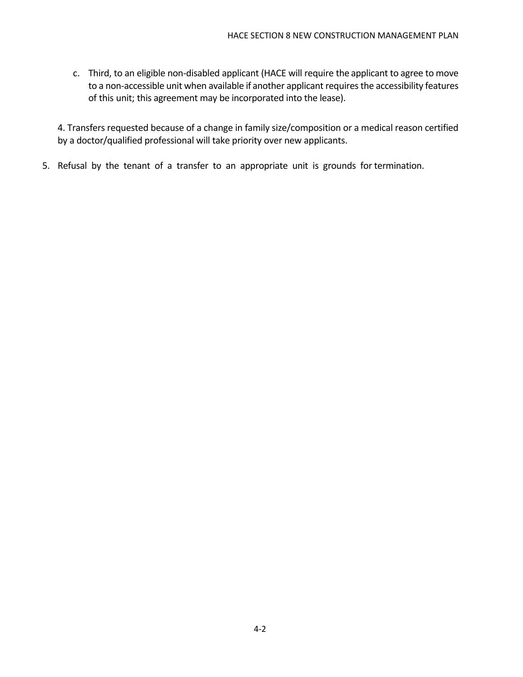c. Third, to an eligible non-disabled applicant (HACE will require the applicant to agree to move to a non-accessible unit when available if another applicant requires the accessibility features of this unit; this agreement may be incorporated into the lease).

4. Transfers requested because of a change in family size/composition or a medical reason certified by a doctor/qualified professional will take priority over new applicants.

5. Refusal by the tenant of a transfer to an appropriate unit is grounds for termination.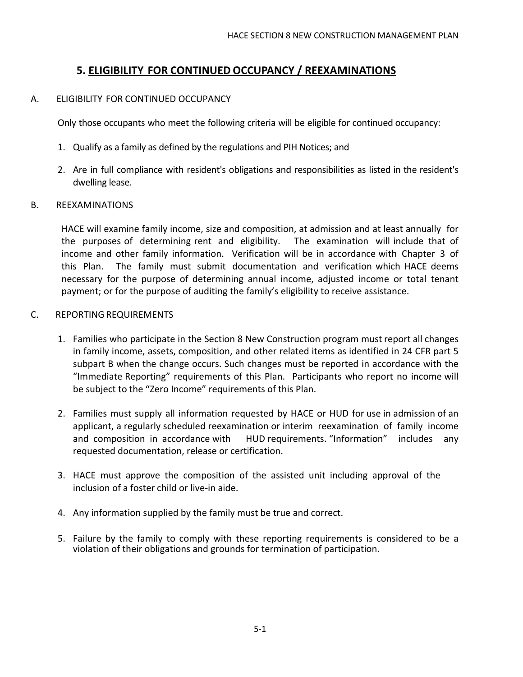## **5. ELIGIBILITY FOR CONTINUED OCCUPANCY / REEXAMINATIONS**

#### A. ELIGIBILITY FOR CONTINUED OCCUPANCY

Only those occupants who meet the following criteria will be eligible for continued occupancy:

- 1. Qualify as a family as defined by the regulations and PIH Notices; and
- 2. Are in full compliance with resident's obligations and responsibilities as listed in the resident's dwelling lease.

#### B. REEXAMINATIONS

HACE will examine family income, size and composition, at admission and at least annually for the purposes of determining rent and eligibility. The examination will include that of income and other family information. Verification will be in accordance with Chapter 3 of this Plan. The family must submit documentation and verification which HACE deems necessary for the purpose of determining annual income, adjusted income or total tenant payment; or for the purpose of auditing the family's eligibility to receive assistance.

#### C. REPORTING REQUIREMENTS

- 1. Families who participate in the Section 8 New Construction program must report all changes in family income, assets, composition, and other related items as identified in 24 CFR part 5 subpart B when the change occurs. Such changes must be reported in accordance with the "Immediate Reporting" requirements of this Plan. Participants who report no income will be subject to the "Zero Income" requirements of this Plan.
- 2. Families must supply all information requested by HACE or HUD for use in admission of an applicant, a regularly scheduled reexamination or interim reexamination of family income and composition in accordance with HUD requirements. "Information" includes any requested documentation, release or certification.
- 3. HACE must approve the composition of the assisted unit including approval of the inclusion of a foster child or live-in aide.
- 4. Any information supplied by the family must be true and correct.
- 5. Failure by the family to comply with these reporting requirements is considered to be a violation of their obligations and grounds for termination of participation.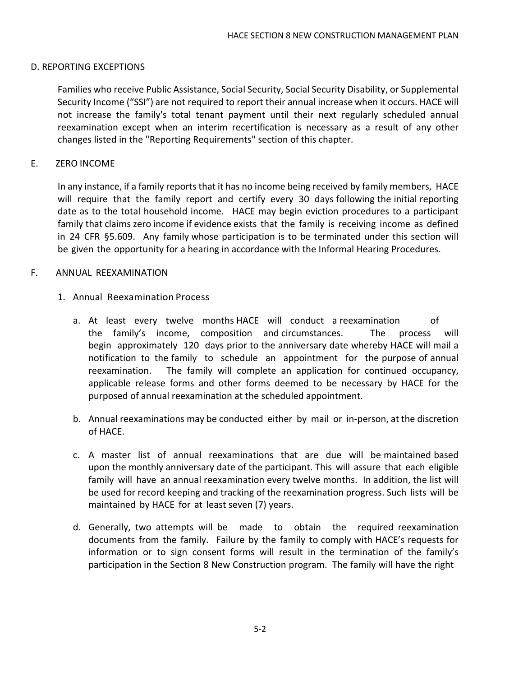#### D. REPORTING EXCEPTIONS

Families who receive Public Assistance, Social Security, Social Security Disability, or Supplemental Security Income ("SSI") are not required to report their annual increase when it occurs. HACE will not increase the family's total tenant payment until their next regularly scheduled annual reexamination except when an interim recertification is necessary as a result of any other changes listed in the "Reporting Requirements" section of this chapter.

#### E. ZERO INCOME

In any instance, if a family reports that it has no income being received by family members, HACE will require that the family report and certify every 30 days following the initial reporting date as to the total household income. HACE may begin eviction procedures to a participant family that claims zero income if evidence exists that the family is receiving income as defined in 24 CFR §5.609. Any family whose participation is to be terminated under this section will be given the opportunity for a hearing in accordance with the Informal Hearing Procedures.

#### F. ANNUAL REEXAMINATION

- 1. Annual Reexamination Process
	- a. At least every twelve months HACE will conduct a reexamination of the family's income, composition and circumstances. The process will begin approximately 120 days prior to the anniversary date whereby HACE will mail a notification to the family to schedule an appointment for the purpose of annual reexamination. The family will complete an application for continued occupancy, applicable release forms and other forms deemed to be necessary by HACE for the purposed of annual reexamination at the scheduled appointment.
	- b. Annual reexaminations may be conducted either by mail or in-person, at the discretion of HACE.
	- c. A master list of annual reexaminations that are due will be maintained based upon the monthly anniversary date of the participant. This will assure that each eligible family will have an annual reexamination every twelve months. In addition, the list will be used for record keeping and tracking of the reexamination progress. Such lists will be maintained by HACE for at least seven (7) years.
	- d. Generally, two attempts will be made to obtain the required reexamination documents from the family. Failure by the family to comply with HACE's requests for information or to sign consent forms will result in the termination of the family's participation in the Section 8 New Construction program. The family will have the right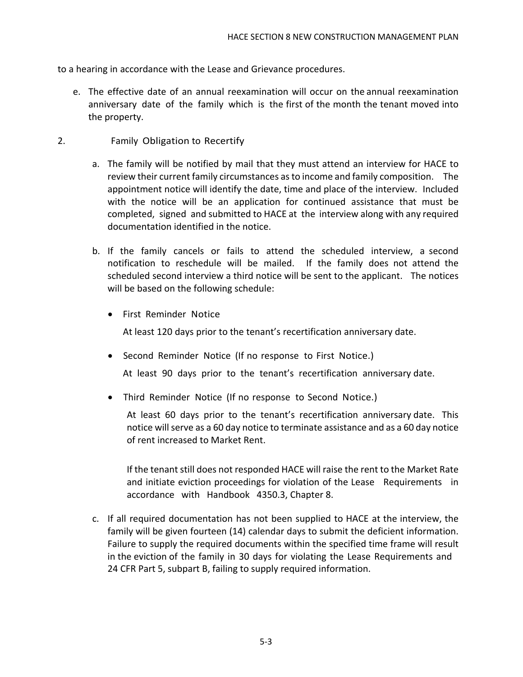to a hearing in accordance with the Lease and Grievance procedures.

e. The effective date of an annual reexamination will occur on the annual reexamination anniversary date of the family which is the first of the month the tenant moved into the property.

#### 2. Family Obligation to Recertify

- a. The family will be notified by mail that they must attend an interview for HACE to review their current family circumstances asto income and family composition. The appointment notice will identify the date, time and place of the interview. Included with the notice will be an application for continued assistance that must be completed, signed and submitted to HACE at the interview along with any required documentation identified in the notice.
- b. If the family cancels or fails to attend the scheduled interview, a second notification to reschedule will be mailed. If the family does not attend the scheduled second interview a third notice will be sent to the applicant. The notices will be based on the following schedule:
	- First Reminder Notice

At least 120 days prior to the tenant's recertification anniversary date.

• Second Reminder Notice (If no response to First Notice.)

At least 90 days prior to the tenant's recertification anniversary date.

• Third Reminder Notice (If no response to Second Notice.)

At least 60 days prior to the tenant's recertification anniversary date. This notice will serve as a 60 day notice to terminate assistance and as a 60 day notice of rent increased to Market Rent.

If the tenant still does not responded HACE will raise the rent to the Market Rate and initiate eviction proceedings for violation of the Lease Requirements in accordance with Handbook 4350.3, Chapter 8.

c. If all required documentation has not been supplied to HACE at the interview, the family will be given fourteen (14) calendar days to submit the deficient information. Failure to supply the required documents within the specified time frame will result in the eviction of the family in 30 days for violating the Lease Requirements and 24 CFR Part 5, subpart B, failing to supply required information.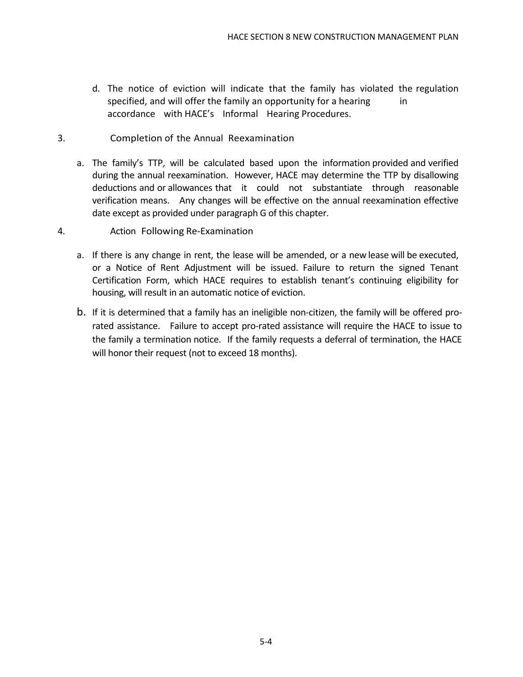- d. The notice of eviction will indicate that the family has violated the regulation specified, and will offer the family an opportunity for a hearing in accordance with HACE's Informal Hearing Procedures.
- 3. Completion of the Annual Reexamination
	- a. The family's TTP, will be calculated based upon the information provided and verified during the annual reexamination. However, HACE may determine the TTP by disallowing deductions and or allowances that it could not substantiate through reasonable verification means. Any changes will be effective on the annual reexamination effective date except as provided under paragraph G of this chapter.
- 4. Action Following Re-Examination
	- a. If there is any change in rent, the lease will be amended, or a new lease will be executed, or a Notice of Rent Adjustment will be issued. Failure to return the signed Tenant Certification Form, which HACE requires to establish tenant's continuing eligibility for housing, will result in an automatic notice of eviction.
	- b. If it is determined that a family has an ineligible non-citizen, the family will be offered prorated assistance. Failure to accept pro-rated assistance will require the HACE to issue to the family a termination notice. If the family requests a deferral of termination, the HACE will honor their request (not to exceed 18 months).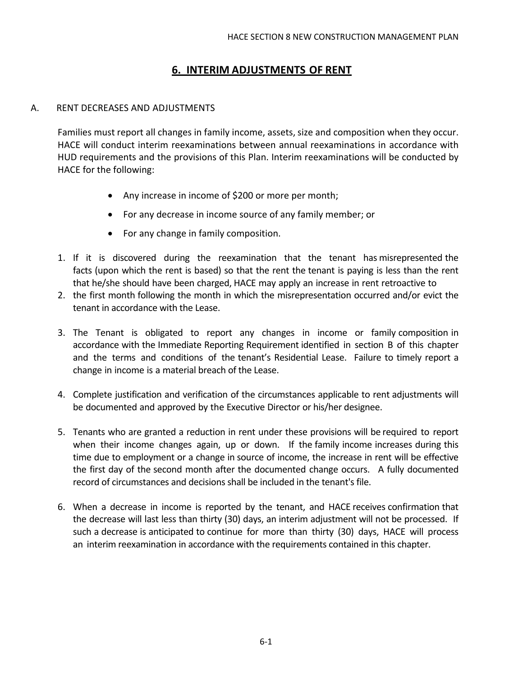# **6. INTERIM ADJUSTMENTS OF RENT**

#### A. RENT DECREASES AND ADJUSTMENTS

Families must report all changes in family income, assets, size and composition when they occur. HACE will conduct interim reexaminations between annual reexaminations in accordance with HUD requirements and the provisions of this Plan. Interim reexaminations will be conducted by HACE for the following:

- Any increase in income of \$200 or more per month;
- For any decrease in income source of any family member; or
- For any change in family composition.
- 1. If it is discovered during the reexamination that the tenant has misrepresented the facts (upon which the rent is based) so that the rent the tenant is paying is less than the rent that he/she should have been charged, HACE may apply an increase in rent retroactive to
- 2. the first month following the month in which the misrepresentation occurred and/or evict the tenant in accordance with the Lease.
- 3. The Tenant is obligated to report any changes in income or family composition in accordance with the Immediate Reporting Requirement identified in section B of this chapter and the terms and conditions of the tenant's Residential Lease. Failure to timely report a change in income is a material breach of the Lease.
- 4. Complete justification and verification of the circumstances applicable to rent adjustments will be documented and approved by the Executive Director or his/her designee.
- 5. Tenants who are granted a reduction in rent under these provisions will be required to report when their income changes again, up or down. If the family income increases during this time due to employment or a change in source of income, the increase in rent will be effective the first day of the second month after the documented change occurs. A fully documented record of circumstances and decisionsshall be included in the tenant's file.
- 6. When a decrease in income is reported by the tenant, and HACE receives confirmation that the decrease will last less than thirty (30) days, an interim adjustment will not be processed. If such a decrease is anticipated to continue for more than thirty (30) days, HACE will process an interim reexamination in accordance with the requirements contained in this chapter.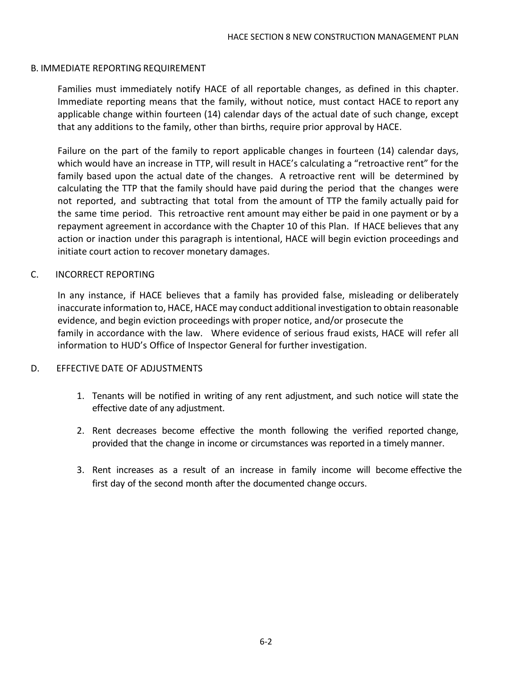#### B. IMMEDIATE REPORTING REQUIREMENT

Families must immediately notify HACE of all reportable changes, as defined in this chapter. Immediate reporting means that the family, without notice, must contact HACE to report any applicable change within fourteen (14) calendar days of the actual date of such change, except that any additions to the family, other than births, require prior approval by HACE.

Failure on the part of the family to report applicable changes in fourteen (14) calendar days, which would have an increase in TTP, will result in HACE's calculating a "retroactive rent" for the family based upon the actual date of the changes. A retroactive rent will be determined by calculating the TTP that the family should have paid during the period that the changes were not reported, and subtracting that total from the amount of TTP the family actually paid for the same time period. This retroactive rent amount may either be paid in one payment or by a repayment agreement in accordance with the Chapter 10 of this Plan. If HACE believes that any action or inaction under this paragraph is intentional, HACE will begin eviction proceedings and initiate court action to recover monetary damages.

#### C. INCORRECT REPORTING

In any instance, if HACE believes that a family has provided false, misleading or deliberately inaccurate information to, HACE, HACE may conduct additional investigation to obtain reasonable evidence, and begin eviction proceedings with proper notice, and/or prosecute the family in accordance with the law. Where evidence of serious fraud exists, HACE will refer all information to HUD's Office of Inspector General for further investigation.

#### D. EFFECTIVE DATE OF ADJUSTMENTS

- 1. Tenants will be notified in writing of any rent adjustment, and such notice will state the effective date of any adjustment.
- 2. Rent decreases become effective the month following the verified reported change, provided that the change in income or circumstances was reported in a timely manner.
- 3. Rent increases as a result of an increase in family income will become effective the first day of the second month after the documented change occurs.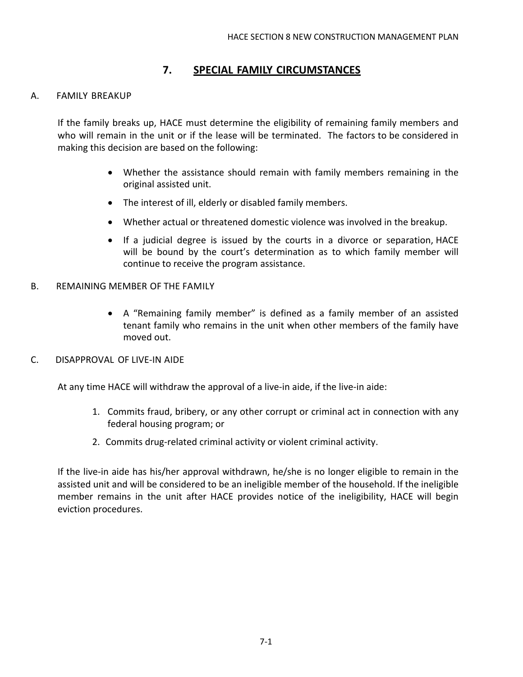# **7. SPECIAL FAMILY CIRCUMSTANCES**

#### A. FAMILY BREAKUP

If the family breaks up, HACE must determine the eligibility of remaining family members and who will remain in the unit or if the lease will be terminated. The factors to be considered in making this decision are based on the following:

- Whether the assistance should remain with family members remaining in the original assisted unit.
- The interest of ill, elderly or disabled family members.
- Whether actual or threatened domestic violence was involved in the breakup.
- If a judicial degree is issued by the courts in a divorce or separation, HACE will be bound by the court's determination as to which family member will continue to receive the program assistance.
- B. REMAINING MEMBER OF THE FAMILY
	- A "Remaining family member" is defined as a family member of an assisted tenant family who remains in the unit when other members of the family have moved out.
- C. DISAPPROVAL OF LIVE-IN AIDE

At any time HACE will withdraw the approval of a live-in aide, if the live-in aide:

- 1. Commits fraud, bribery, or any other corrupt or criminal act in connection with any federal housing program; or
- 2. Commits drug-related criminal activity or violent criminal activity.

If the live-in aide has his/her approval withdrawn, he/she is no longer eligible to remain in the assisted unit and will be considered to be an ineligible member of the household. If the ineligible member remains in the unit after HACE provides notice of the ineligibility, HACE will begin eviction procedures.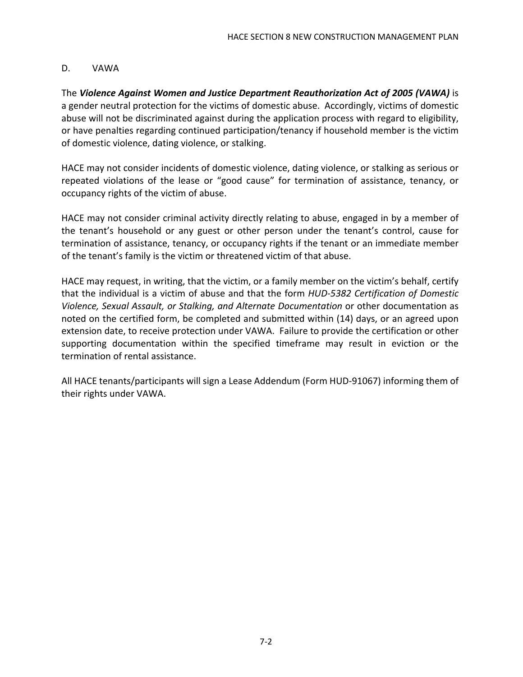#### D. VAWA

The *Violence Against Women and Justice Department Reauthorization Act of 2005 (VAWA)* is a gender neutral protection for the victims of domestic abuse. Accordingly, victims of domestic abuse will not be discriminated against during the application process with regard to eligibility, or have penalties regarding continued participation/tenancy if household member is the victim of domestic violence, dating violence, or stalking.

HACE may not consider incidents of domestic violence, dating violence, or stalking as serious or repeated violations of the lease or "good cause" for termination of assistance, tenancy, or occupancy rights of the victim of abuse.

HACE may not consider criminal activity directly relating to abuse, engaged in by a member of the tenant's household or any guest or other person under the tenant's control, cause for termination of assistance, tenancy, or occupancy rights if the tenant or an immediate member of the tenant's family is the victim or threatened victim of that abuse.

HACE may request, in writing, that the victim, or a family member on the victim's behalf, certify that the individual is a victim of abuse and that the form *HUD-5382 Certification of Domestic Violence, Sexual Assault, or Stalking, and Alternate Documentation* or other documentation as noted on the certified form, be completed and submitted within (14) days, or an agreed upon extension date, to receive protection under VAWA. Failure to provide the certification or other supporting documentation within the specified timeframe may result in eviction or the termination of rental assistance.

All HACE tenants/participants will sign a Lease Addendum (Form HUD-91067) informing them of their rights under VAWA.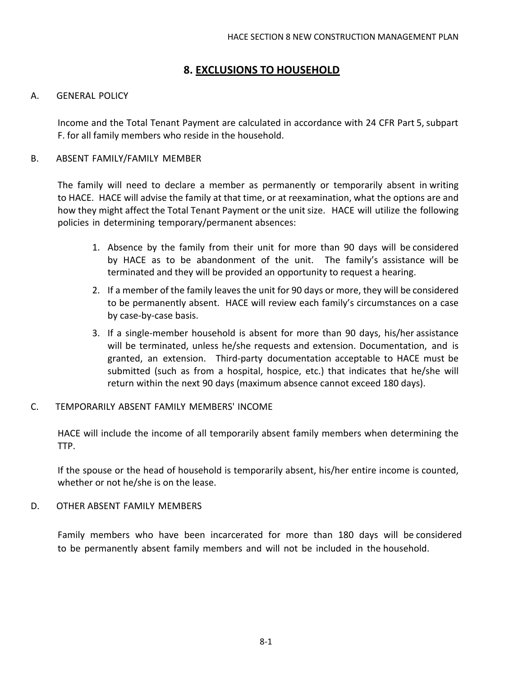#### **8. EXCLUSIONS TO HOUSEHOLD**

#### A. GENERAL POLICY

Income and the Total Tenant Payment are calculated in accordance with 24 CFR Part 5, subpart F. for all family members who reside in the household.

#### B. ABSENT FAMILY/FAMILY MEMBER

The family will need to declare a member as permanently or temporarily absent in writing to HACE. HACE will advise the family at that time, or at reexamination, what the options are and how they might affect the Total Tenant Payment or the unit size. HACE will utilize the following policies in determining temporary/permanent absences:

- 1. Absence by the family from their unit for more than 90 days will be considered by HACE as to be abandonment of the unit. The family's assistance will be terminated and they will be provided an opportunity to request a hearing.
- 2. If a member of the family leaves the unit for 90 days or more, they will be considered to be permanently absent. HACE will review each family's circumstances on a case by case-by-case basis.
- 3. If a single-member household is absent for more than 90 days, his/her assistance will be terminated, unless he/she requests and extension. Documentation, and is granted, an extension. Third-party documentation acceptable to HACE must be submitted (such as from a hospital, hospice, etc.) that indicates that he/she will return within the next 90 days (maximum absence cannot exceed 180 days).

#### C. TEMPORARILY ABSENT FAMILY MEMBERS' INCOME

HACE will include the income of all temporarily absent family members when determining the TTP.

If the spouse or the head of household is temporarily absent, his/her entire income is counted, whether or not he/she is on the lease.

#### D. OTHER ABSENT FAMILY MEMBERS

Family members who have been incarcerated for more than 180 days will be considered to be permanently absent family members and will not be included in the household.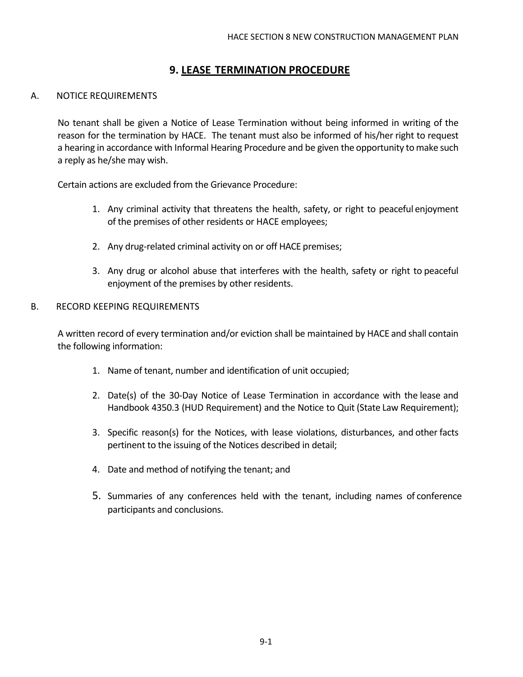## **9. LEASE TERMINATION PROCEDURE**

#### A. NOTICE REQUIREMENTS

No tenant shall be given a Notice of Lease Termination without being informed in writing of the reason for the termination by HACE. The tenant must also be informed of his/her right to request a hearing in accordance with Informal Hearing Procedure and be given the opportunity tomake such a reply as he/she may wish.

Certain actions are excluded from the Grievance Procedure:

- 1. Any criminal activity that threatens the health, safety, or right to peaceful enjoyment of the premises of other residents or HACE employees;
- 2. Any drug-related criminal activity on or off HACE premises;
- 3. Any drug or alcohol abuse that interferes with the health, safety or right to peaceful enjoyment of the premises by other residents.
- B. RECORD KEEPING REQUIREMENTS

A written record of every termination and/or eviction shall be maintained by HACE and shall contain the following information:

- 1. Name of tenant, number and identification of unit occupied;
- 2. Date(s) of the 30-Day Notice of Lease Termination in accordance with the lease and Handbook 4350.3 (HUD Requirement) and the Notice to Quit (State Law Requirement);
- 3. Specific reason(s) for the Notices, with lease violations, disturbances, and other facts pertinent to the issuing of the Notices described in detail;
- 4. Date and method of notifying the tenant; and
- 5. Summaries of any conferences held with the tenant, including names of conference participants and conclusions.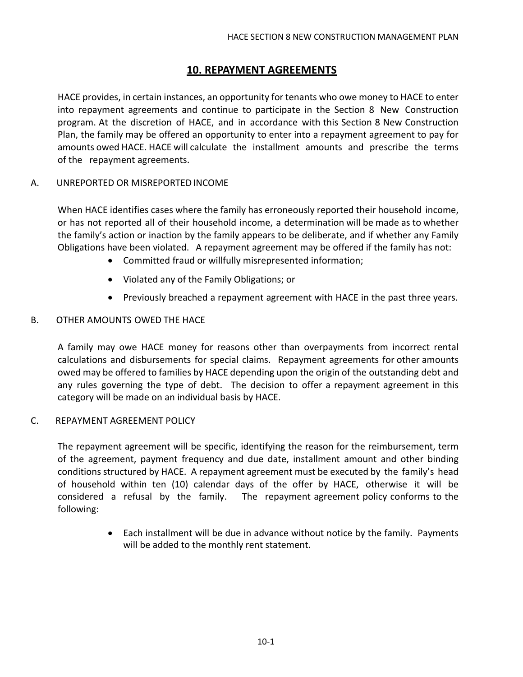# **10. REPAYMENT AGREEMENTS**

HACE provides, in certain instances, an opportunity for tenants who owe money to HACE to enter into repayment agreements and continue to participate in the Section 8 New Construction program. At the discretion of HACE, and in accordance with this Section 8 New Construction Plan, the family may be offered an opportunity to enter into a repayment agreement to pay for amounts owed HACE. HACE will calculate the installment amounts and prescribe the terms of the repayment agreements.

#### A. UNREPORTED OR MISREPORTEDINCOME

When HACE identifies cases where the family has erroneously reported their household income, or has not reported all of their household income, a determination will be made as to whether the family's action or inaction by the family appears to be deliberate, and if whether any Family Obligations have been violated. A repayment agreement may be offered if the family has not:

- Committed fraud or willfully misrepresented information;
- Violated any of the Family Obligations; or
- Previously breached a repayment agreement with HACE in the past three years.

#### B. OTHER AMOUNTS OWED THE HACE

A family may owe HACE money for reasons other than overpayments from incorrect rental calculations and disbursements for special claims. Repayment agreements for other amounts owed may be offered to families by HACE depending upon the origin of the outstanding debt and any rules governing the type of debt. The decision to offer a repayment agreement in this category will be made on an individual basis by HACE.

#### C. REPAYMENT AGREEMENT POLICY

The repayment agreement will be specific, identifying the reason for the reimbursement, term of the agreement, payment frequency and due date, installment amount and other binding conditions structured by HACE. A repayment agreement must be executed by the family's head of household within ten (10) calendar days of the offer by HACE, otherwise it will be considered a refusal by the family. The repayment agreement policy conforms to the following:

> • Each installment will be due in advance without notice by the family. Payments will be added to the monthly rent statement.